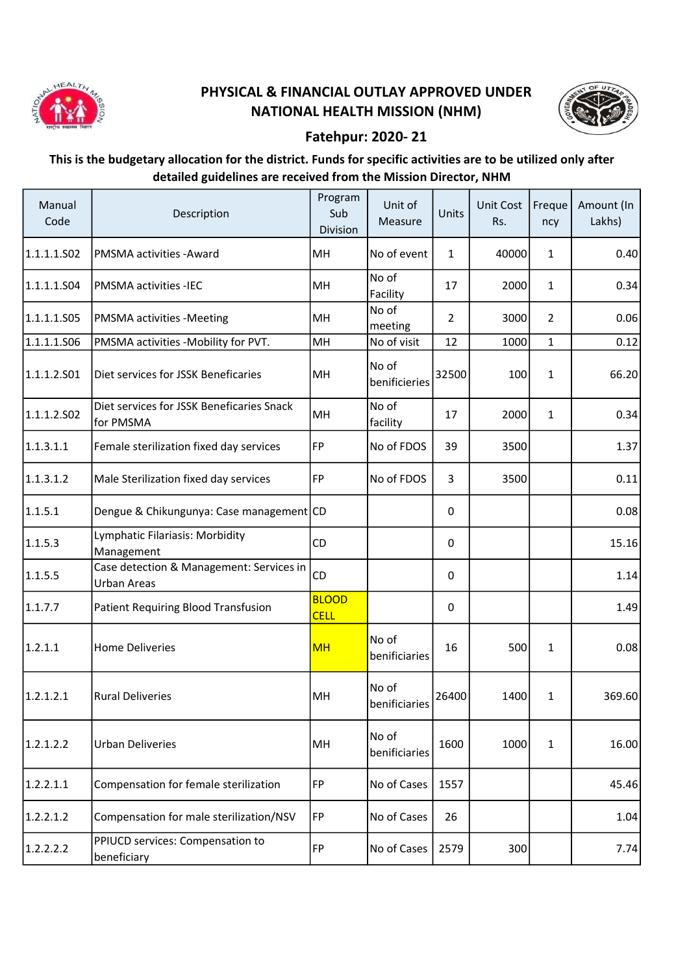

## PHYSICAL & FINANCIAL OUTLAY APPROVED UNDER NATIONAL HEALTH MISSION (NHM)



## Fatehpur: 2020- 21

## This is the budgetary allocation for the district. Funds for specific activities are to be utilized only after detailed guidelines are received from the Mission Director, NHM

| Manual<br>Code | Description                                                    | Program<br>Sub<br>Division  | Unit of<br>Measure     | Units          | Unit Cost<br>Rs. | Freque<br>ncy  | Amount (In<br>Lakhs) |
|----------------|----------------------------------------------------------------|-----------------------------|------------------------|----------------|------------------|----------------|----------------------|
| 1.1.1.1.S02    | PMSMA activities - Award                                       | MH                          | No of event            | $\mathbf{1}$   | 40000            | $\mathbf{1}$   | 0.40                 |
| 1.1.1.1.504    | <b>PMSMA activities -IEC</b>                                   | MH                          | No of<br>Facility      | 17             | 2000             | $\mathbf{1}$   | 0.34                 |
| 1.1.1.1.S05    | PMSMA activities -Meeting                                      | MH                          | No of<br>meeting       | $\overline{2}$ | 3000             | $\overline{2}$ | 0.06                 |
| 1.1.1.1.506    | PMSMA activities -Mobility for PVT.                            | MH                          | No of visit            | 12             | 1000             | $\mathbf{1}$   | 0.12                 |
| 1.1.1.2.501    | Diet services for JSSK Beneficaries                            | MH                          | No of<br>benificieries | 32500          | 100              | $\mathbf{1}$   | 66.20                |
| 1.1.1.2.502    | Diet services for JSSK Beneficaries Snack<br>for PMSMA         | MH                          | No of<br>facility      | 17             | 2000             | $\mathbf{1}$   | 0.34                 |
| 1.1.3.1.1      | Female sterilization fixed day services                        | FP                          | No of FDOS             | 39             | 3500             |                | 1.37                 |
| 1.1.3.1.2      | Male Sterilization fixed day services                          | FP                          | No of FDOS             | $\overline{3}$ | 3500             |                | 0.11                 |
| 1.1.5.1        | Dengue & Chikungunya: Case management CD                       |                             |                        | $\Omega$       |                  |                | 0.08                 |
| 1.1.5.3        | Lymphatic Filariasis: Morbidity<br>Management                  | CD                          |                        | 0              |                  |                | 15.16                |
| 1.1.5.5        | Case detection & Management: Services in<br><b>Urban Areas</b> | CD                          |                        | $\mathbf 0$    |                  |                | 1.14                 |
| 1.1.7.7        | Patient Requiring Blood Transfusion                            | <b>BLOOD</b><br><b>CELL</b> |                        | 0              |                  |                | 1.49                 |
| 1.2.1.1        | <b>Home Deliveries</b>                                         | <b>MH</b>                   | No of<br>benificiaries | 16             | 500              | 1              | 0.08                 |
| 1.2.1.2.1      | <b>Rural Deliveries</b>                                        | MH                          | No of<br>benificiaries | 26400          | 1400             | $\mathbf{1}$   | 369.60               |
| 1.2.1.2.2      | <b>Urban Deliveries</b>                                        | MH                          | No of<br>benificiaries | 1600           | 1000             | $\mathbf{1}$   | 16.00                |
| 1.2.2.1.1      | Compensation for female sterilization                          | FP                          | No of Cases            | 1557           |                  |                | 45.46                |
| 1.2.2.1.2      | Compensation for male sterilization/NSV                        | FP                          | No of Cases            | 26             |                  |                | 1.04                 |
| 1.2.2.2.2      | PPIUCD services: Compensation to<br>beneficiary                | FP                          | No of Cases            | 2579           | 300              |                | 7.74                 |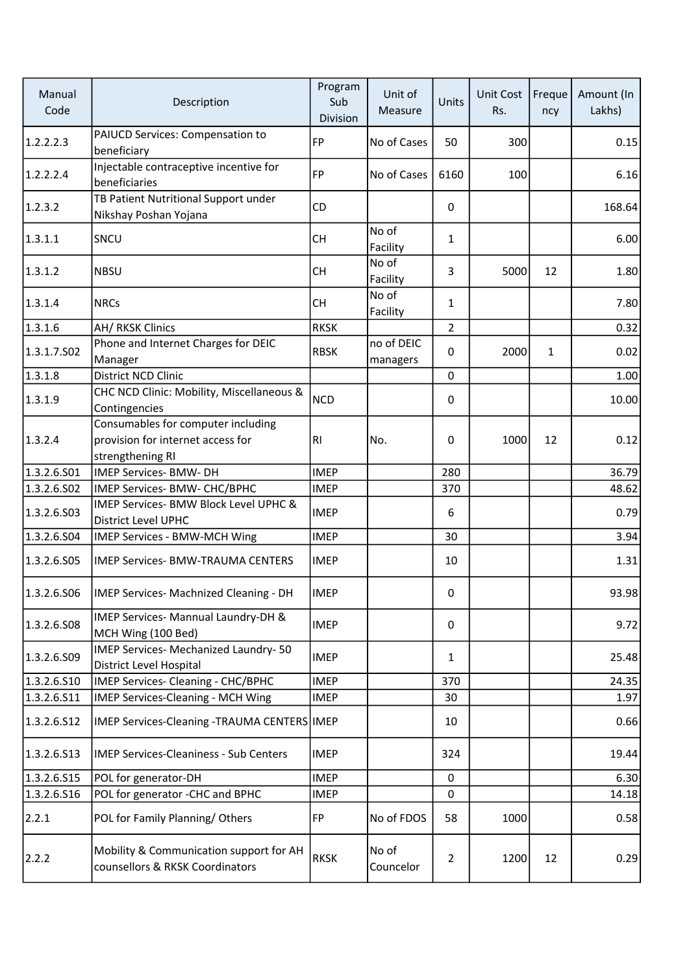| Manual<br>Code | Description                                                                                 | Program<br>Sub<br>Division | Unit of<br>Measure     | Units          | Unit Cost<br>Rs. | Freque<br>ncy | Amount (In<br>Lakhs) |
|----------------|---------------------------------------------------------------------------------------------|----------------------------|------------------------|----------------|------------------|---------------|----------------------|
| 1.2.2.2.3      | PAIUCD Services: Compensation to<br>beneficiary                                             | <b>FP</b>                  | No of Cases            | 50             | 300              |               | 0.15                 |
| 1.2.2.2.4      | Injectable contraceptive incentive for<br>beneficiaries                                     | FP                         | No of Cases            | 6160           | 100              |               | 6.16                 |
| 1.2.3.2        | TB Patient Nutritional Support under<br>Nikshay Poshan Yojana                               | CD                         |                        | 0              |                  |               | 168.64               |
| 1.3.1.1        | SNCU                                                                                        | <b>CH</b>                  | No of<br>Facility      | $\mathbf{1}$   |                  |               | 6.00                 |
| 1.3.1.2        | <b>NBSU</b>                                                                                 | <b>CH</b>                  | No of<br>Facility      | 3              | 5000             | 12            | 1.80                 |
| 1.3.1.4        | <b>NRCs</b>                                                                                 | <b>CH</b>                  | No of<br>Facility      | $\mathbf{1}$   |                  |               | 7.80                 |
| 1.3.1.6        | AH/ RKSK Clinics                                                                            | <b>RKSK</b>                |                        | $\overline{2}$ |                  |               | 0.32                 |
| 1.3.1.7.502    | Phone and Internet Charges for DEIC<br>Manager                                              | <b>RBSK</b>                | no of DEIC<br>managers | 0              | 2000             | $\mathbf{1}$  | 0.02                 |
| 1.3.1.8        | District NCD Clinic                                                                         |                            |                        | 0              |                  |               | 1.00                 |
| 1.3.1.9        | CHC NCD Clinic: Mobility, Miscellaneous &<br>Contingencies                                  | <b>NCD</b>                 |                        | 0              |                  |               | 10.00                |
| 1.3.2.4        | Consumables for computer including<br>provision for internet access for<br>strengthening RI | RI.                        | No.                    | 0              | 1000             | 12            | 0.12                 |
| 1.3.2.6.501    | IMEP Services- BMW- DH                                                                      | <b>IMEP</b>                |                        | 280            |                  |               | 36.79                |
| 1.3.2.6.S02    | IMEP Services- BMW- CHC/BPHC                                                                | <b>IMEP</b>                |                        | 370            |                  |               | 48.62                |
| 1.3.2.6.503    | IMEP Services- BMW Block Level UPHC &<br>District Level UPHC                                | <b>IMEP</b>                |                        | 6              |                  |               | 0.79                 |
| 1.3.2.6.504    | IMEP Services - BMW-MCH Wing                                                                | <b>IMEP</b>                |                        | 30             |                  |               | 3.94                 |
| 1.3.2.6.505    | <b>IMEP Services- BMW-TRAUMA CENTERS</b>                                                    | <b>IMEP</b>                |                        | 10             |                  |               | 1.31                 |
| 1.3.2.6.S06    | IMEP Services- Machnized Cleaning - DH                                                      | <b>IMEP</b>                |                        | 0              |                  |               | 93.98                |
| 1.3.2.6.508    | IMEP Services- Mannual Laundry-DH &<br>MCH Wing (100 Bed)                                   | <b>IMEP</b>                |                        | 0              |                  |               | 9.72                 |
| 1.3.2.6.509    | IMEP Services- Mechanized Laundry-50<br>District Level Hospital                             | <b>IMEP</b>                |                        | $\mathbf{1}$   |                  |               | 25.48                |
| 1.3.2.6.S10    | IMEP Services- Cleaning - CHC/BPHC                                                          | <b>IMEP</b>                |                        | 370            |                  |               | 24.35                |
| 1.3.2.6.511    | IMEP Services-Cleaning - MCH Wing                                                           | <b>IMEP</b>                |                        | 30             |                  |               | 1.97                 |
| 1.3.2.6.512    | IMEP Services-Cleaning -TRAUMA CENTERS IMEP                                                 |                            |                        | 10             |                  |               | 0.66                 |
| 1.3.2.6.513    | <b>IMEP Services-Cleaniness - Sub Centers</b>                                               | <b>IMEP</b>                |                        | 324            |                  |               | 19.44                |
| 1.3.2.6.S15    | POL for generator-DH                                                                        | <b>IMEP</b>                |                        | 0              |                  |               | 6.30                 |
| 1.3.2.6.516    | POL for generator -CHC and BPHC                                                             | <b>IMEP</b>                |                        | 0              |                  |               | 14.18                |
| 2.2.1          | POL for Family Planning/Others                                                              | FP                         | No of FDOS             | 58             | 1000             |               | 0.58                 |
| 2.2.2          | Mobility & Communication support for AH<br>counsellors & RKSK Coordinators                  | <b>RKSK</b>                | No of<br>Councelor     | $\overline{2}$ | 1200             | 12            | 0.29                 |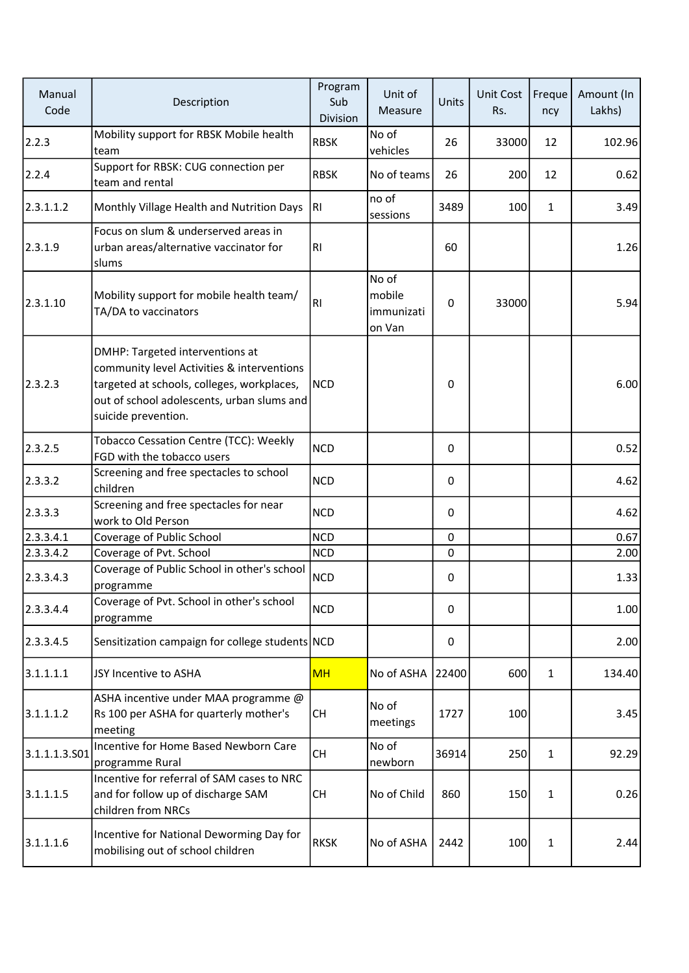| Manual<br>Code | Description                                                                                                                                                                                      | Program<br>Sub<br>Division | Unit of<br>Measure                      | Units       | <b>Unit Cost</b><br>Rs. | Freque<br>ncy | Amount (In<br>Lakhs) |
|----------------|--------------------------------------------------------------------------------------------------------------------------------------------------------------------------------------------------|----------------------------|-----------------------------------------|-------------|-------------------------|---------------|----------------------|
| 2.2.3          | Mobility support for RBSK Mobile health<br>team                                                                                                                                                  | <b>RBSK</b>                | No of<br>vehicles                       | 26          | 33000                   | 12            | 102.96               |
| 2.2.4          | Support for RBSK: CUG connection per<br>team and rental                                                                                                                                          | <b>RBSK</b>                | No of teams                             | 26          | 200                     | 12            | 0.62                 |
| 2.3.1.1.2      | Monthly Village Health and Nutrition Days                                                                                                                                                        | IRI                        | no of<br>sessions                       | 3489        | 100                     | 1             | 3.49                 |
| 2.3.1.9        | Focus on slum & underserved areas in<br>urban areas/alternative vaccinator for<br>slums                                                                                                          | RI                         |                                         | 60          |                         |               | 1.26                 |
| 2.3.1.10       | Mobility support for mobile health team/<br>TA/DA to vaccinators                                                                                                                                 | RI                         | No of<br>mobile<br>immunizati<br>on Van | $\pmb{0}$   | 33000                   |               | 5.94                 |
| 2.3.2.3        | DMHP: Targeted interventions at<br>community level Activities & interventions<br>targeted at schools, colleges, workplaces,<br>out of school adolescents, urban slums and<br>suicide prevention. | <b>NCD</b>                 |                                         | 0           |                         |               | 6.00                 |
| 2.3.2.5        | Tobacco Cessation Centre (TCC): Weekly<br>FGD with the tobacco users                                                                                                                             | <b>NCD</b>                 |                                         | $\mathbf 0$ |                         |               | 0.52                 |
| 2.3.3.2        | Screening and free spectacles to school<br>children                                                                                                                                              | <b>NCD</b>                 |                                         | 0           |                         |               | 4.62                 |
| 2.3.3.3        | Screening and free spectacles for near<br>work to Old Person                                                                                                                                     | <b>NCD</b>                 |                                         | 0           |                         |               | 4.62                 |
| 2.3.3.4.1      | Coverage of Public School                                                                                                                                                                        | <b>NCD</b>                 |                                         | $\pmb{0}$   |                         |               | 0.67                 |
| 2.3.3.4.2      | Coverage of Pvt. School                                                                                                                                                                          | <b>NCD</b>                 |                                         | 0           |                         |               | 2.00                 |
| 2.3.3.4.3      | Coverage of Public School in other's school<br>programme                                                                                                                                         | <b>NCD</b>                 |                                         | 0           |                         |               | 1.33                 |
| 2.3.3.4.4      | Coverage of Pvt. School in other's school<br>programme                                                                                                                                           | <b>NCD</b>                 |                                         | 0           |                         |               | 1.00                 |
| 2.3.3.4.5      | Sensitization campaign for college students NCD                                                                                                                                                  |                            |                                         | 0           |                         |               | 2.00                 |
| 3.1.1.1.1      | JSY Incentive to ASHA                                                                                                                                                                            | <b>MH</b>                  | No of ASHA                              | 22400       | 600                     | $\mathbf{1}$  | 134.40               |
| 3.1.1.1.2      | ASHA incentive under MAA programme @<br>Rs 100 per ASHA for quarterly mother's<br>meeting                                                                                                        | <b>CH</b>                  | No of<br>meetings                       | 1727        | 100                     |               | 3.45                 |
| 3.1.1.1.3.501  | Incentive for Home Based Newborn Care<br>programme Rural                                                                                                                                         | <b>CH</b>                  | No of<br>newborn                        | 36914       | 250                     | 1             | 92.29                |
| 3.1.1.1.5      | Incentive for referral of SAM cases to NRC<br>and for follow up of discharge SAM<br>children from NRCs                                                                                           | <b>CH</b>                  | No of Child                             | 860         | 150                     | 1             | 0.26                 |
| 3.1.1.1.6      | Incentive for National Deworming Day for<br>mobilising out of school children                                                                                                                    | <b>RKSK</b>                | No of ASHA                              | 2442        | 100                     | 1             | 2.44                 |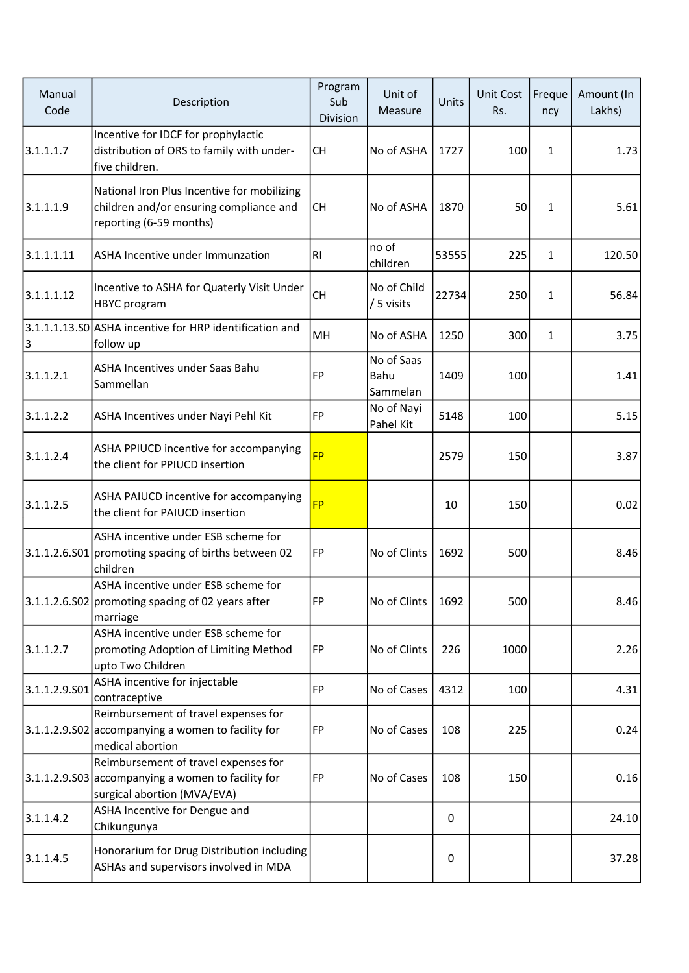| Manual<br>Code | Description                                                                                                               | Program<br>Sub<br>Division | Unit of<br>Measure             | Units | Unit Cost<br>Rs. | Freque<br>ncy | Amount (In<br>Lakhs) |
|----------------|---------------------------------------------------------------------------------------------------------------------------|----------------------------|--------------------------------|-------|------------------|---------------|----------------------|
| 3.1.1.1.7      | Incentive for IDCF for prophylactic<br>distribution of ORS to family with under-<br>five children.                        | СH                         | No of ASHA                     | 1727  | 100              | $\mathbf{1}$  | 1.73                 |
| 3.1.1.1.9      | National Iron Plus Incentive for mobilizing<br>children and/or ensuring compliance and<br>reporting (6-59 months)         | <b>CH</b>                  | No of ASHA                     | 1870  | 50               | $\mathbf{1}$  | 5.61                 |
| 3.1.1.1.11     | ASHA Incentive under Immunzation                                                                                          | RI                         | no of<br>children              | 53555 | 225              | $\mathbf{1}$  | 120.50               |
| 3.1.1.1.12     | Incentive to ASHA for Quaterly Visit Under<br>HBYC program                                                                | <b>CH</b>                  | No of Child<br>/ 5 visits      | 22734 | 250              | 1             | 56.84                |
| 3              | 3.1.1.1.13.S0 ASHA incentive for HRP identification and<br>follow up                                                      | MH                         | No of ASHA                     | 1250  | 300              | $\mathbf{1}$  | 3.75                 |
| 3.1.1.2.1      | ASHA Incentives under Saas Bahu<br>Sammellan                                                                              | FP                         | No of Saas<br>Bahu<br>Sammelan | 1409  | 100              |               | 1.41                 |
| 3.1.1.2.2      | ASHA Incentives under Nayi Pehl Kit                                                                                       | FP                         | No of Nayi<br>Pahel Kit        | 5148  | 100              |               | 5.15                 |
| 3.1.1.2.4      | ASHA PPIUCD incentive for accompanying<br>the client for PPIUCD insertion                                                 | <b>FP</b>                  |                                | 2579  | 150              |               | 3.87                 |
| 3.1.1.2.5      | ASHA PAIUCD incentive for accompanying<br>the client for PAIUCD insertion                                                 | <b>FP</b>                  |                                | 10    | 150              |               | 0.02                 |
|                | ASHA incentive under ESB scheme for<br>3.1.1.2.6.S01 promoting spacing of births between 02<br>children                   | FP                         | No of Clints                   | 1692  | 500              |               | 8.46                 |
|                | ASHA incentive under ESB scheme for<br>3.1.1.2.6.S02 promoting spacing of 02 years after<br>marriage                      | FP                         | No of Clints                   | 1692  | 500              |               | 8.46                 |
| 3.1.1.2.7      | ASHA incentive under ESB scheme for<br>promoting Adoption of Limiting Method<br>upto Two Children                         | FP                         | No of Clints                   | 226   | 1000             |               | 2.26                 |
| 3.1.1.2.9.501  | ASHA incentive for injectable<br>contraceptive                                                                            | FP                         | No of Cases                    | 4312  | 100              |               | 4.31                 |
| 3.1.1.2.9.502  | Reimbursement of travel expenses for<br>accompanying a women to facility for<br>medical abortion                          | FP                         | No of Cases                    | 108   | 225              |               | 0.24                 |
|                | Reimbursement of travel expenses for<br>3.1.1.2.9.503 accompanying a women to facility for<br>surgical abortion (MVA/EVA) | FP                         | No of Cases                    | 108   | 150              |               | 0.16                 |
| 3.1.1.4.2      | ASHA Incentive for Dengue and<br>Chikungunya                                                                              |                            |                                | 0     |                  |               | 24.10                |
| 3.1.1.4.5      | Honorarium for Drug Distribution including<br>ASHAs and supervisors involved in MDA                                       |                            |                                | 0     |                  |               | 37.28                |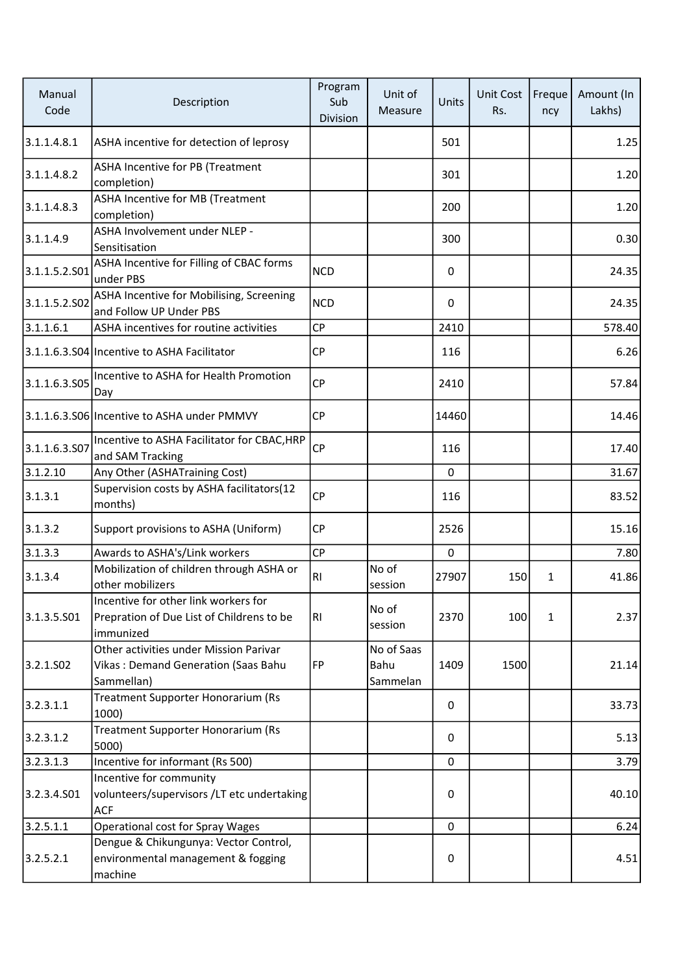| Manual<br>Code        | Description                                                                                    | Program<br>Sub<br>Division | Unit of<br>Measure             | Units        | Unit Cost<br>Rs. | Freque<br>ncy | Amount (In<br>Lakhs) |
|-----------------------|------------------------------------------------------------------------------------------------|----------------------------|--------------------------------|--------------|------------------|---------------|----------------------|
| 3.1.1.4.8.1           | ASHA incentive for detection of leprosy                                                        |                            |                                | 501          |                  |               | 1.25                 |
| 3.1.1.4.8.2           | ASHA Incentive for PB (Treatment<br>completion)                                                |                            |                                | 301          |                  |               | 1.20                 |
| 3.1.1.4.8.3           | <b>ASHA Incentive for MB (Treatment</b><br>completion)                                         |                            |                                | 200          |                  |               | 1.20                 |
| 3.1.1.4.9             | ASHA Involvement under NLEP -<br>Sensitisation                                                 |                            |                                | 300          |                  |               | 0.30                 |
| 3.1.1.5.2.S01         | ASHA Incentive for Filling of CBAC forms<br>under PBS                                          | <b>NCD</b>                 |                                | 0            |                  |               | 24.35                |
| 3.1.1.5.2.S02         | ASHA Incentive for Mobilising, Screening<br>and Follow UP Under PBS                            | <b>NCD</b>                 |                                | $\mathbf{0}$ |                  |               | 24.35                |
| 3.1.1.6.1             | ASHA incentives for routine activities                                                         | <b>CP</b>                  |                                | 2410         |                  |               | 578.40               |
|                       | 3.1.1.6.3.S04 Incentive to ASHA Facilitator                                                    | <b>CP</b>                  |                                | 116          |                  |               | 6.26                 |
| 3.1.1.6.3.S05         | Incentive to ASHA for Health Promotion<br>Day                                                  | CP                         |                                | 2410         |                  |               | 57.84                |
|                       | 3.1.1.6.3.S06 Incentive to ASHA under PMMVY                                                    | <b>CP</b>                  |                                | 14460        |                  |               | 14.46                |
| 3.1.1.6.3.507         | Incentive to ASHA Facilitator for CBAC, HRP<br>and SAM Tracking                                | <b>CP</b>                  |                                | 116          |                  |               | 17.40                |
| 3.1.2.10              | Any Other (ASHATraining Cost)                                                                  |                            |                                | 0            |                  |               | 31.67                |
| 3.1.3.1               | Supervision costs by ASHA facilitators(12<br>months)                                           | <b>CP</b>                  |                                | 116          |                  |               | 83.52                |
| 3.1.3.2               | Support provisions to ASHA (Uniform)                                                           | <b>CP</b>                  |                                | 2526         |                  |               | 15.16                |
| 3.1.3.3               | Awards to ASHA's/Link workers                                                                  | CP                         |                                | 0            |                  |               | 7.80                 |
| 3.1.3.4               | Mobilization of children through ASHA or<br>other mobilizers                                   | RI                         | No of<br>session               | 27907        | 150              | 1             | 41.86                |
| 3.1.3.5.501           | Incentive for other link workers for<br>Prepration of Due List of Childrens to be<br>immunized | RI                         | No of<br>session               | 2370         | 100              | $\mathbf{1}$  | 2.37                 |
| 3.2.1.SO <sub>2</sub> | Other activities under Mission Parivar<br>Vikas: Demand Generation (Saas Bahu<br>Sammellan)    | FP                         | No of Saas<br>Bahu<br>Sammelan | 1409         | 1500             |               | 21.14                |
| 3.2.3.1.1             | Treatment Supporter Honorarium (Rs<br>1000)                                                    |                            |                                | 0            |                  |               | 33.73                |
| 3.2.3.1.2             | Treatment Supporter Honorarium (Rs<br>5000)                                                    |                            |                                | 0            |                  |               | 5.13                 |
| 3.2.3.1.3             | Incentive for informant (Rs 500)                                                               |                            |                                | 0            |                  |               | 3.79                 |
| 3.2.3.4.501           | Incentive for community<br>volunteers/supervisors /LT etc undertaking<br><b>ACF</b>            |                            |                                | 0            |                  |               | 40.10                |
| 3.2.5.1.1             | <b>Operational cost for Spray Wages</b>                                                        |                            |                                | 0            |                  |               | 6.24                 |
| 3.2.5.2.1             | Dengue & Chikungunya: Vector Control,<br>environmental management & fogging<br>machine         |                            |                                | 0            |                  |               | 4.51                 |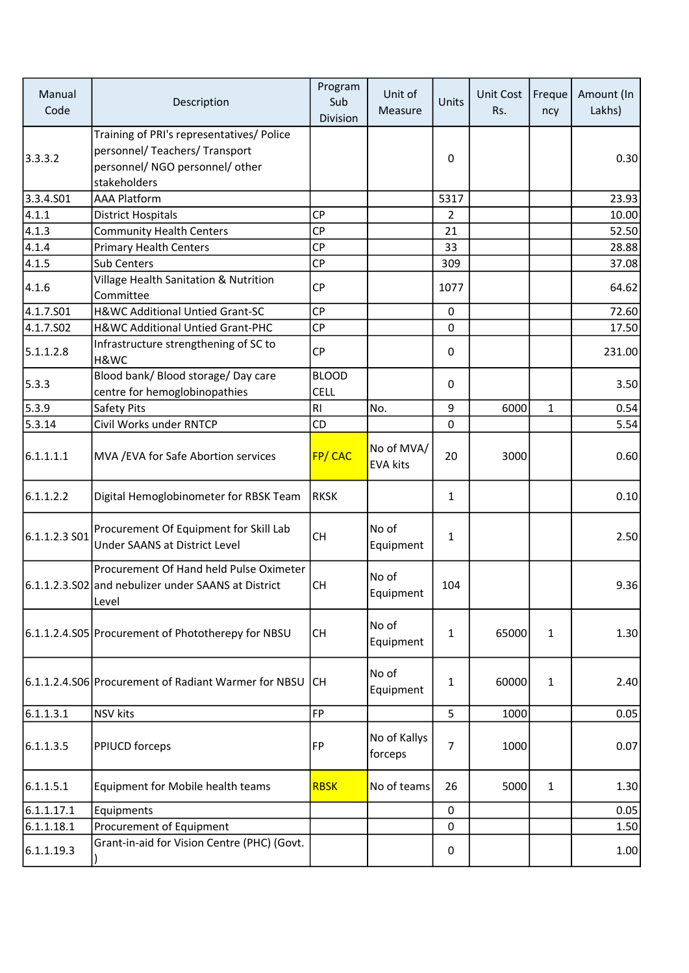| Manual<br>Code        | Description                                                                                                                    | Program<br>Sub<br>Division  | Unit of<br>Measure            | Units       | Unit Cost<br>Rs. | Freque<br>ncy | Amount (In<br>Lakhs) |
|-----------------------|--------------------------------------------------------------------------------------------------------------------------------|-----------------------------|-------------------------------|-------------|------------------|---------------|----------------------|
| 3.3.3.2               | Training of PRI's representatives/ Police<br>personnel/ Teachers/ Transport<br>personnel/ NGO personnel/ other<br>stakeholders |                             |                               | 0           |                  |               | 0.30                 |
| 3.3.4.501             | <b>AAA Platform</b>                                                                                                            |                             |                               | 5317        |                  |               | 23.93                |
| 4.1.1                 | <b>District Hospitals</b>                                                                                                      | <b>CP</b>                   |                               | 2           |                  |               | 10.00                |
| 4.1.3                 | <b>Community Health Centers</b>                                                                                                | <b>CP</b>                   |                               | 21          |                  |               | 52.50                |
| 4.1.4                 | <b>Primary Health Centers</b>                                                                                                  | <b>CP</b>                   |                               | 33          |                  |               | 28.88                |
| 4.1.5                 | Sub Centers                                                                                                                    | <b>CP</b>                   |                               | 309         |                  |               | 37.08                |
| 4.1.6                 | Village Health Sanitation & Nutrition<br>Committee                                                                             | <b>CP</b>                   |                               | 1077        |                  |               | 64.62                |
| 4.1.7.501             | H&WC Additional Untied Grant-SC                                                                                                | <b>CP</b>                   |                               | $\mathbf 0$ |                  |               | 72.60                |
| 4.1.7.SO <sub>2</sub> | H&WC Additional Untied Grant-PHC                                                                                               | <b>CP</b>                   |                               | 0           |                  |               | 17.50                |
| 5.1.1.2.8             | Infrastructure strengthening of SC to<br>H&WC                                                                                  | <b>CP</b>                   |                               | 0           |                  |               | 231.00               |
| 5.3.3                 | Blood bank/ Blood storage/ Day care<br>centre for hemoglobinopathies                                                           | <b>BLOOD</b><br><b>CELL</b> |                               | 0           |                  |               | 3.50                 |
| 5.3.9                 | Safety Pits                                                                                                                    | RI                          | No.                           | 9           | 6000             | $\mathbf{1}$  | 0.54                 |
| 5.3.14                | Civil Works under RNTCP                                                                                                        | CD                          |                               | 0           |                  |               | 5.54                 |
| 6.1.1.1.1             | MVA / EVA for Safe Abortion services                                                                                           | FP/CAC                      | No of MVA/<br><b>EVA kits</b> | 20          | 3000             |               | 0.60                 |
| 6.1.1.2.2             | Digital Hemoglobinometer for RBSK Team                                                                                         | <b>RKSK</b>                 |                               | 1           |                  |               | 0.10                 |
| 6.1.1.2.3S            | Procurement Of Equipment for Skill Lab<br><b>Under SAANS at District Level</b>                                                 | <b>CH</b>                   | No of<br>Equipment            | 1           |                  |               | 2.50                 |
|                       | Procurement Of Hand held Pulse Oximeter<br>6.1.1.2.3.S02 and nebulizer under SAANS at District<br>Level                        | <b>CH</b>                   | No of<br>Equipment            | 104         |                  |               | 9.36                 |
|                       | 6.1.1.2.4.S05 Procurement of Phototherepy for NBSU                                                                             | <b>CH</b>                   | No of<br>Equipment            | 1           | 65000            | $\mathbf{1}$  | 1.30                 |
|                       | 6.1.1.2.4.S06 Procurement of Radiant Warmer for NBSU                                                                           | <b>CH</b>                   | No of<br>Equipment            | 1           | 60000            | 1             | 2.40                 |
| 6.1.1.3.1             | <b>NSV</b> kits                                                                                                                | FP                          |                               | 5           | 1000             |               | 0.05                 |
| 6.1.1.3.5             | PPIUCD forceps                                                                                                                 | FP                          | No of Kallys<br>forceps       | 7           | 1000             |               | 0.07                 |
| 6.1.1.5.1             | Equipment for Mobile health teams                                                                                              | <b>RBSK</b>                 | No of teams                   | 26          | 5000             | 1             | 1.30                 |
| 6.1.1.17.1            | Equipments                                                                                                                     |                             |                               | $\pmb{0}$   |                  |               | 0.05                 |
| 6.1.1.18.1            | Procurement of Equipment                                                                                                       |                             |                               | 0           |                  |               | 1.50                 |
| 6.1.1.19.3            | Grant-in-aid for Vision Centre (PHC) (Govt.                                                                                    |                             |                               | 0           |                  |               | 1.00                 |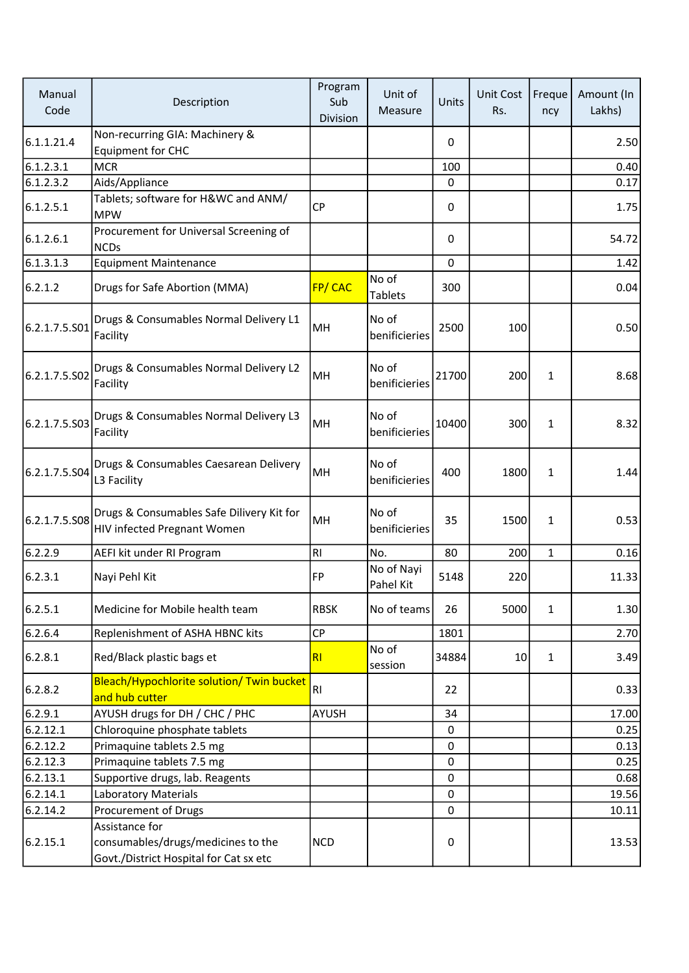| Manual<br>Code | Description                                                                                    | Program<br>Sub<br>Division | Unit of<br>Measure      | Units       | Unit Cost<br>Rs. | Freque<br>ncy | Amount (In<br>Lakhs) |
|----------------|------------------------------------------------------------------------------------------------|----------------------------|-------------------------|-------------|------------------|---------------|----------------------|
| 6.1.1.21.4     | Non-recurring GIA: Machinery &<br><b>Equipment for CHC</b>                                     |                            |                         | 0           |                  |               | 2.50                 |
| 6.1.2.3.1      | <b>MCR</b>                                                                                     |                            |                         | 100         |                  |               | 0.40                 |
| 6.1.2.3.2      | Aids/Appliance                                                                                 |                            |                         | 0           |                  |               | 0.17                 |
| 6.1.2.5.1      | Tablets; software for H&WC and ANM/<br><b>MPW</b>                                              | <b>CP</b>                  |                         | 0           |                  |               | 1.75                 |
| 6.1.2.6.1      | Procurement for Universal Screening of<br><b>NCDs</b>                                          |                            |                         | 0           |                  |               | 54.72                |
| 6.1.3.1.3      | <b>Equipment Maintenance</b>                                                                   |                            |                         | 0           |                  |               | 1.42                 |
| 6.2.1.2        | Drugs for Safe Abortion (MMA)                                                                  | FP/CAC                     | No of<br><b>Tablets</b> | 300         |                  |               | 0.04                 |
| 6.2.1.7.5.S01  | Drugs & Consumables Normal Delivery L1<br>Facility                                             | MH                         | No of<br>benificieries  | 2500        | 100              |               | 0.50                 |
| 6.2.1.7.5.S02  | Drugs & Consumables Normal Delivery L2<br>Facility                                             | MH                         | No of<br>benificieries  | 21700       | 200              | $\mathbf{1}$  | 8.68                 |
| 6.2.1.7.5.S03  | Drugs & Consumables Normal Delivery L3<br>Facility                                             | MH                         | No of<br>benificieries  | 10400       | 300              | $\mathbf{1}$  | 8.32                 |
| 6.2.1.7.5.S04  | Drugs & Consumables Caesarean Delivery<br>L3 Facility                                          | MH                         | No of<br>benificieries  | 400         | 1800             | 1             | 1.44                 |
| 6.2.1.7.5.508  | Drugs & Consumables Safe Dilivery Kit for<br>HIV infected Pregnant Women                       | MH                         | No of<br>benificieries  | 35          | 1500             | 1             | 0.53                 |
| 6.2.2.9        | AEFI kit under RI Program                                                                      | RI                         | No.                     | 80          | 200              | $\mathbf{1}$  | 0.16                 |
| 6.2.3.1        | Nayi Pehl Kit                                                                                  | FP                         | No of Nayi<br>Pahel Kit | 5148        | 220              |               | 11.33                |
| 6.2.5.1        | Medicine for Mobile health team                                                                | <b>RBSK</b>                | No of teams             | 26          | 5000             | $\mathbf{1}$  | 1.30                 |
| 6.2.6.4        | Replenishment of ASHA HBNC kits                                                                | <b>CP</b>                  |                         | 1801        |                  |               | 2.70                 |
| 6.2.8.1        | Red/Black plastic bags et                                                                      | R1                         | No of<br>session        | 34884       | 10 <sup>1</sup>  | $\mathbf{1}$  | 3.49                 |
| 6.2.8.2        | Bleach/Hypochlorite solution/ Twin bucket<br>and hub cutter                                    | RI                         |                         | 22          |                  |               | 0.33                 |
| 6.2.9.1        | AYUSH drugs for DH / CHC / PHC                                                                 | AYUSH                      |                         | 34          |                  |               | 17.00                |
| 6.2.12.1       | Chloroquine phosphate tablets                                                                  |                            |                         | 0           |                  |               | 0.25                 |
| 6.2.12.2       | Primaquine tablets 2.5 mg                                                                      |                            |                         | $\mathbf 0$ |                  |               | 0.13                 |
| 6.2.12.3       | Primaquine tablets 7.5 mg                                                                      |                            |                         | 0           |                  |               | 0.25                 |
| 6.2.13.1       | Supportive drugs, lab. Reagents                                                                |                            |                         | 0           |                  |               | 0.68                 |
| 6.2.14.1       | <b>Laboratory Materials</b>                                                                    |                            |                         | $\pmb{0}$   |                  |               | 19.56                |
| 6.2.14.2       | Procurement of Drugs                                                                           |                            |                         | 0           |                  |               | 10.11                |
| 6.2.15.1       | Assistance for<br>consumables/drugs/medicines to the<br>Govt./District Hospital for Cat sx etc | <b>NCD</b>                 |                         | 0           |                  |               | 13.53                |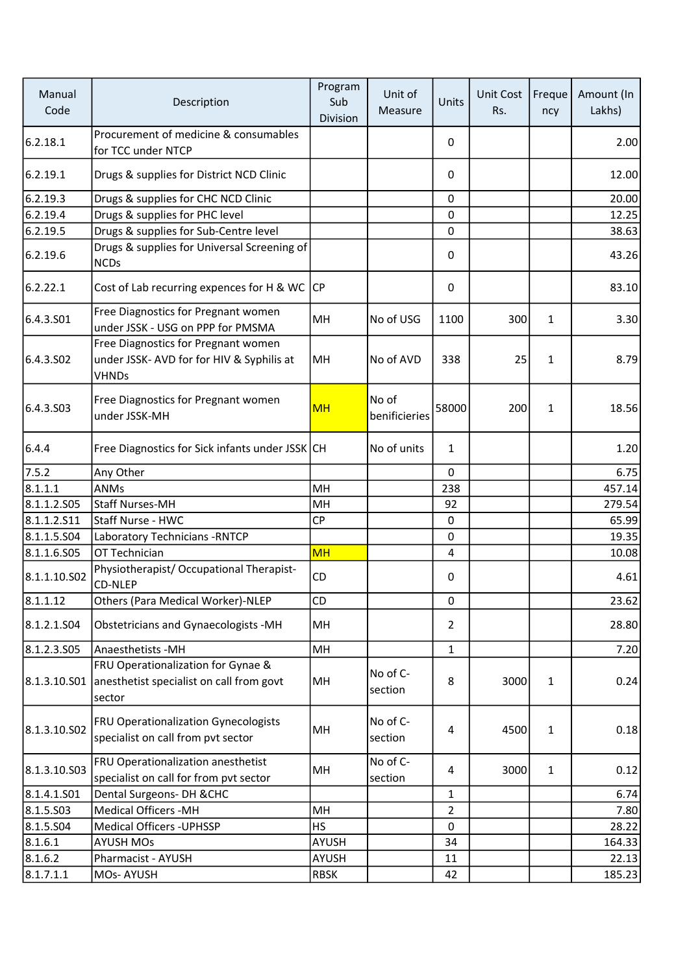| Manual<br>Code | Description                                                                                      | Program<br>Sub<br>Division | Unit of<br>Measure     | Units          | <b>Unit Cost</b><br>Rs. | Freque<br>ncy | Amount (In<br>Lakhs) |
|----------------|--------------------------------------------------------------------------------------------------|----------------------------|------------------------|----------------|-------------------------|---------------|----------------------|
| 6.2.18.1       | Procurement of medicine & consumables<br>for TCC under NTCP                                      |                            |                        | 0              |                         |               | 2.00                 |
| 6.2.19.1       | Drugs & supplies for District NCD Clinic                                                         |                            |                        | 0              |                         |               | 12.00                |
| 6.2.19.3       | Drugs & supplies for CHC NCD Clinic                                                              |                            |                        | 0              |                         |               | 20.00                |
| 6.2.19.4       | Drugs & supplies for PHC level                                                                   |                            |                        | 0              |                         |               | 12.25                |
| 6.2.19.5       | Drugs & supplies for Sub-Centre level                                                            |                            |                        | 0              |                         |               | 38.63                |
| 6.2.19.6       | Drugs & supplies for Universal Screening of<br><b>NCDs</b>                                       |                            |                        | 0              |                         |               | 43.26                |
| 6.2.22.1       | Cost of Lab recurring expences for H & WC                                                        | lCP                        |                        | 0              |                         |               | 83.10                |
| 6.4.3.501      | Free Diagnostics for Pregnant women<br>under JSSK - USG on PPP for PMSMA                         | MH                         | No of USG              | 1100           | 300                     | $\mathbf{1}$  | 3.30                 |
| 6.4.3.502      | Free Diagnostics for Pregnant women<br>under JSSK- AVD for for HIV & Syphilis at<br><b>VHNDs</b> | MH                         | No of AVD              | 338            | 25                      | 1             | 8.79                 |
| 6.4.3.503      | Free Diagnostics for Pregnant women<br>under JSSK-MH                                             | <b>MH</b>                  | No of<br>benificieries | 58000          | 200                     | 1             | 18.56                |
| 6.4.4          | Free Diagnostics for Sick infants under JSSK CH                                                  |                            | No of units            | 1              |                         |               | 1.20                 |
| 7.5.2          | Any Other                                                                                        |                            |                        | 0              |                         |               | 6.75                 |
| 8.1.1.1        | <b>ANMs</b>                                                                                      | MH                         |                        | 238            |                         |               | 457.14               |
| 8.1.1.2.505    | <b>Staff Nurses-MH</b>                                                                           | MH                         |                        | 92             |                         |               | 279.54               |
| 8.1.1.2.511    | Staff Nurse - HWC                                                                                | <b>CP</b>                  |                        | $\pmb{0}$      |                         |               | 65.99                |
| 8.1.1.5.504    | Laboratory Technicians - RNTCP                                                                   |                            |                        | 0              |                         |               | 19.35                |
| 8.1.1.6.505    | OT Technician                                                                                    | <b>MH</b>                  |                        | 4              |                         |               | 10.08                |
| 8.1.1.10.S02   | Physiotherapist/ Occupational Therapist-<br><b>CD-NLEP</b>                                       | CD                         |                        | 0              |                         |               | 4.61                 |
| 8.1.1.12       | Others (Para Medical Worker)-NLEP                                                                | CD                         |                        | 0              |                         |               | 23.62                |
| 8.1.2.1.504    | Obstetricians and Gynaecologists -MH                                                             | MH                         |                        | $\overline{2}$ |                         |               | 28.80                |
| 8.1.2.3.505    | Anaesthetists -MH                                                                                | MH                         |                        | $\mathbf{1}$   |                         |               | 7.20                 |
| 8.1.3.10.S01   | FRU Operationalization for Gynae &<br>anesthetist specialist on call from govt<br>sector         | MH                         | No of C-<br>section    | 8              | 3000                    | $\mathbf{1}$  | 0.24                 |
| 8.1.3.10.S02   | FRU Operationalization Gynecologists<br>specialist on call from pvt sector                       | MH                         | No of C-<br>section    | 4              | 4500                    | $\mathbf{1}$  | 0.18                 |
| 8.1.3.10.503   | FRU Operationalization anesthetist<br>specialist on call for from pvt sector                     | MН                         | No of C-<br>section    | 4              | 3000                    | $\mathbf{1}$  | 0.12                 |
| 8.1.4.1.501    | Dental Surgeons- DH & CHC                                                                        |                            |                        | 1              |                         |               | 6.74                 |
| 8.1.5.503      | <b>Medical Officers -MH</b>                                                                      | MH                         |                        | $\overline{2}$ |                         |               | 7.80                 |
| 8.1.5.504      | <b>Medical Officers - UPHSSP</b>                                                                 | <b>HS</b>                  |                        | 0              |                         |               | 28.22                |
| 8.1.6.1        | <b>AYUSH MOs</b>                                                                                 | AYUSH                      |                        | 34             |                         |               | 164.33               |
| 8.1.6.2        | Pharmacist - AYUSH                                                                               | AYUSH                      |                        | 11             |                         |               | 22.13                |
| 8.1.7.1.1      | MOs-AYUSH                                                                                        | <b>RBSK</b>                |                        | 42             |                         |               | 185.23               |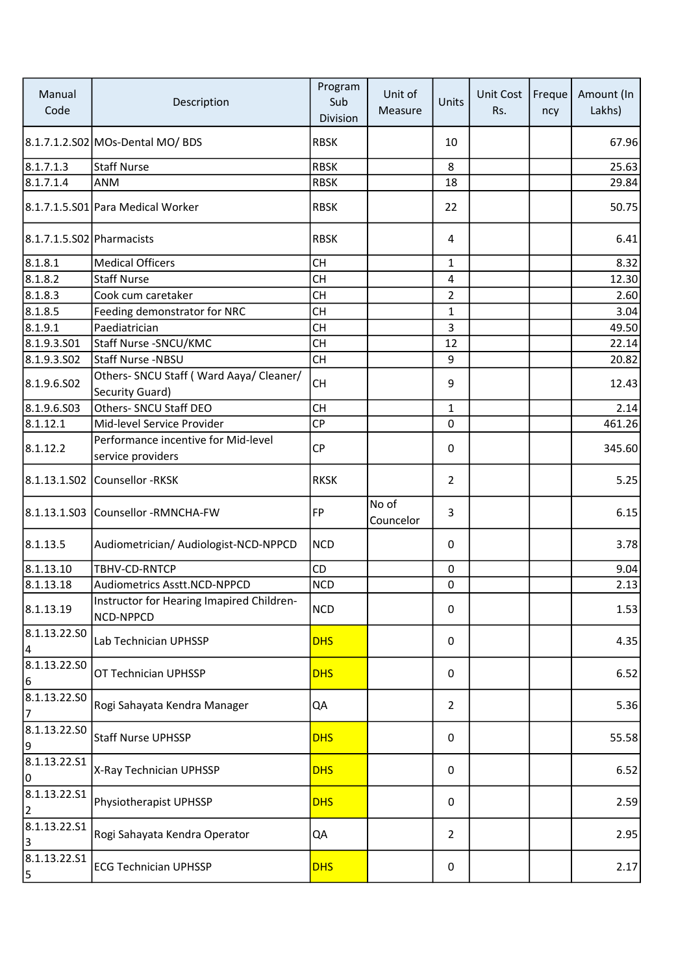| Manual<br>Code            | Description                                                 | Program<br>Sub<br>Division | Unit of<br>Measure | Units          | Unit Cost<br>Rs. | Freque<br>ncy | Amount (In<br>Lakhs) |
|---------------------------|-------------------------------------------------------------|----------------------------|--------------------|----------------|------------------|---------------|----------------------|
|                           | 8.1.7.1.2.S02 MOs-Dental MO/ BDS                            | <b>RBSK</b>                |                    | 10             |                  |               | 67.96                |
| 8.1.7.1.3                 | <b>Staff Nurse</b>                                          | <b>RBSK</b>                |                    | 8              |                  |               | 25.63                |
| 8.1.7.1.4                 | ANM                                                         | <b>RBSK</b>                |                    | 18             |                  |               | 29.84                |
|                           | 8.1.7.1.5.S01 Para Medical Worker                           | <b>RBSK</b>                |                    | 22             |                  |               | 50.75                |
| 8.1.7.1.5.S02 Pharmacists |                                                             | <b>RBSK</b>                |                    | $\overline{4}$ |                  |               | 6.41                 |
| 8.1.8.1                   | <b>Medical Officers</b>                                     | <b>CH</b>                  |                    | 1              |                  |               | 8.32                 |
| 8.1.8.2                   | <b>Staff Nurse</b>                                          | <b>CH</b>                  |                    | 4              |                  |               | 12.30                |
| 8.1.8.3                   | Cook cum caretaker                                          | <b>CH</b>                  |                    | $\overline{2}$ |                  |               | 2.60                 |
| 8.1.8.5                   | Feeding demonstrator for NRC                                | <b>CH</b>                  |                    | 1              |                  |               | 3.04                 |
| 8.1.9.1                   | Paediatrician                                               | <b>CH</b>                  |                    | 3              |                  |               | 49.50                |
| 8.1.9.3.501               | Staff Nurse - SNCU/KMC                                      | <b>CH</b>                  |                    | 12             |                  |               | 22.14                |
| 8.1.9.3.502               | Staff Nurse -NBSU                                           | <b>CH</b>                  |                    | 9              |                  |               | 20.82                |
| 8.1.9.6.502               | Others- SNCU Staff ( Ward Aaya/ Cleaner/<br>Security Guard) | <b>CH</b>                  |                    | 9              |                  |               | 12.43                |
| 8.1.9.6.503               | Others- SNCU Staff DEO                                      | <b>CH</b>                  |                    | 1              |                  |               | 2.14                 |
| 8.1.12.1                  | Mid-level Service Provider                                  | CP                         |                    | 0              |                  |               | 461.26               |
| 8.1.12.2                  | Performance incentive for Mid-level<br>service providers    | <b>CP</b>                  |                    | 0              |                  |               | 345.60               |
|                           | 8.1.13.1.S02 Counsellor -RKSK                               | <b>RKSK</b>                |                    | $\overline{2}$ |                  |               | 5.25                 |
|                           | 8.1.13.1.S03 Counsellor -RMNCHA-FW                          | <b>FP</b>                  | No of<br>Councelor | 3              |                  |               | 6.15                 |
| 8.1.13.5                  | Audiometrician/ Audiologist-NCD-NPPCD                       | <b>NCD</b>                 |                    | 0              |                  |               | 3.78                 |
| 8.1.13.10                 | TBHV-CD-RNTCP                                               | CD                         |                    | $\mathbf 0$    |                  |               | 9.04                 |
| 8.1.13.18                 | Audiometrics Asstt.NCD-NPPCD                                | <b>NCD</b>                 |                    | 0              |                  |               | 2.13                 |
| 8.1.13.19                 | Instructor for Hearing Imapired Children-<br>NCD-NPPCD      | <b>NCD</b>                 |                    | 0              |                  |               | 1.53                 |
| 8.1.13.22.50<br>4         | Lab Technician UPHSSP                                       | <b>DHS</b>                 |                    | 0              |                  |               | 4.35                 |
| 8.1.13.22.SO<br>6         | OT Technician UPHSSP                                        | <b>DHS</b>                 |                    | 0              |                  |               | 6.52                 |
| 8.1.13.22.50<br>7         | Rogi Sahayata Kendra Manager                                | QA                         |                    | $\overline{2}$ |                  |               | 5.36                 |
| 8.1.13.22.50<br>9         | <b>Staff Nurse UPHSSP</b>                                   | <b>DHS</b>                 |                    | 0              |                  |               | 55.58                |
| 8.1.13.22.51<br>0         | X-Ray Technician UPHSSP                                     | <b>DHS</b>                 |                    | 0              |                  |               | 6.52                 |
| 8.1.13.22.51<br>2         | Physiotherapist UPHSSP                                      | <b>DHS</b>                 |                    | 0              |                  |               | 2.59                 |
| 8.1.13.22.51<br>3         | Rogi Sahayata Kendra Operator                               | QA                         |                    | $\overline{2}$ |                  |               | 2.95                 |
| 8.1.13.22.51<br>5         | <b>ECG Technician UPHSSP</b>                                | <b>DHS</b>                 |                    | 0              |                  |               | 2.17                 |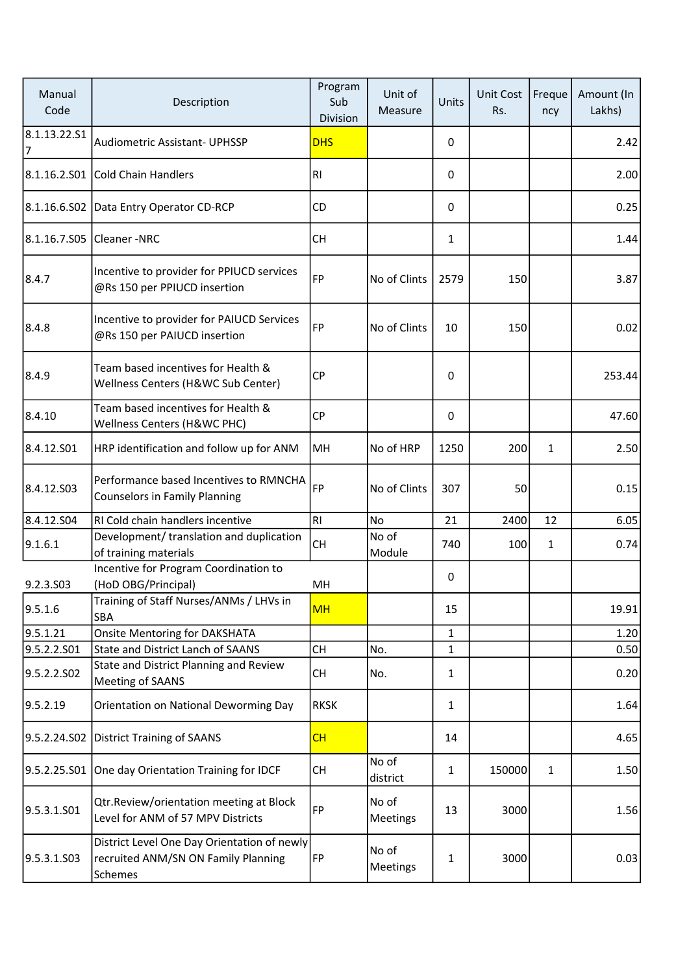| Manual<br>Code     | Description                                                                                   | Program<br>Sub<br>Division | Unit of<br>Measure | Units        | Unit Cost<br>Rs. | Freque<br>ncy | Amount (In<br>Lakhs) |
|--------------------|-----------------------------------------------------------------------------------------------|----------------------------|--------------------|--------------|------------------|---------------|----------------------|
| 8.1.13.22.S1<br>17 | <b>Audiometric Assistant- UPHSSP</b>                                                          | <b>DHS</b>                 |                    | 0            |                  |               | 2.42                 |
| 8.1.16.2.S01       | Cold Chain Handlers                                                                           | RI                         |                    | 0            |                  |               | 2.00                 |
|                    | 8.1.16.6.S02 Data Entry Operator CD-RCP                                                       | <b>CD</b>                  |                    | 0            |                  |               | 0.25                 |
| 8.1.16.7.S05       | Cleaner-NRC                                                                                   | <b>CH</b>                  |                    | 1            |                  |               | 1.44                 |
| 8.4.7              | Incentive to provider for PPIUCD services<br>@Rs 150 per PPIUCD insertion                     | FP                         | No of Clints       | 2579         | 150              |               | 3.87                 |
| 8.4.8              | Incentive to provider for PAIUCD Services<br>@Rs 150 per PAIUCD insertion                     | FP                         | No of Clints       | 10           | 150              |               | 0.02                 |
| 8.4.9              | Team based incentives for Health &<br>Wellness Centers (H&WC Sub Center)                      | <b>CP</b>                  |                    | 0            |                  |               | 253.44               |
| 8.4.10             | Team based incentives for Health &<br>Wellness Centers (H&WC PHC)                             | <b>CP</b>                  |                    | 0            |                  |               | 47.60                |
| 8.4.12.501         | HRP identification and follow up for ANM                                                      | MH                         | No of HRP          | 1250         | 200              | 1             | 2.50                 |
| 8.4.12.503         | Performance based Incentives to RMNCHA<br><b>Counselors in Family Planning</b>                | FP                         | No of Clints       | 307          | 50               |               | 0.15                 |
| 8.4.12.504         | RI Cold chain handlers incentive                                                              | RI                         | No                 | 21           | 2400             | 12            | 6.05                 |
| 9.1.6.1            | Development/ translation and duplication<br>of training materials                             | CH                         | No of<br>Module    | 740          | 100              | 1             | 0.74                 |
| 9.2.3.S03          | Incentive for Program Coordination to<br>(HoD OBG/Principal)                                  | MH                         |                    | 0            |                  |               |                      |
| 9.5.1.6            | Training of Staff Nurses/ANMs / LHVs in<br>SBA                                                | <b>MH</b>                  |                    | 15           |                  |               | 19.91                |
| 9.5.1.21           | <b>Onsite Mentoring for DAKSHATA</b>                                                          |                            |                    | 1            |                  |               | 1.20                 |
| 9.5.2.2.S01        | <b>State and District Lanch of SAANS</b>                                                      | <b>CH</b>                  | No.                | 1            |                  |               | 0.50                 |
| 9.5.2.2.SO2        | State and District Planning and Review<br>Meeting of SAANS                                    | <b>CH</b>                  | No.                | 1            |                  |               | 0.20                 |
| 9.5.2.19           | Orientation on National Deworming Day                                                         | <b>RKSK</b>                |                    | $\mathbf{1}$ |                  |               | 1.64                 |
| 9.5.2.24.S02       | <b>District Training of SAANS</b>                                                             | CH                         |                    | 14           |                  |               | 4.65                 |
| 9.5.2.25.S01       | One day Orientation Training for IDCF                                                         | <b>CH</b>                  | No of<br>district  | 1            | 150000           | $\mathbf{1}$  | 1.50                 |
| 9.5.3.1.S01        | Qtr.Review/orientation meeting at Block<br>Level for ANM of 57 MPV Districts                  | FP                         | No of<br>Meetings  | 13           | 3000             |               | 1.56                 |
| 9.5.3.1.S03        | District Level One Day Orientation of newly<br>recruited ANM/SN ON Family Planning<br>Schemes | FP                         | No of<br>Meetings  | 1            | 3000             |               | 0.03                 |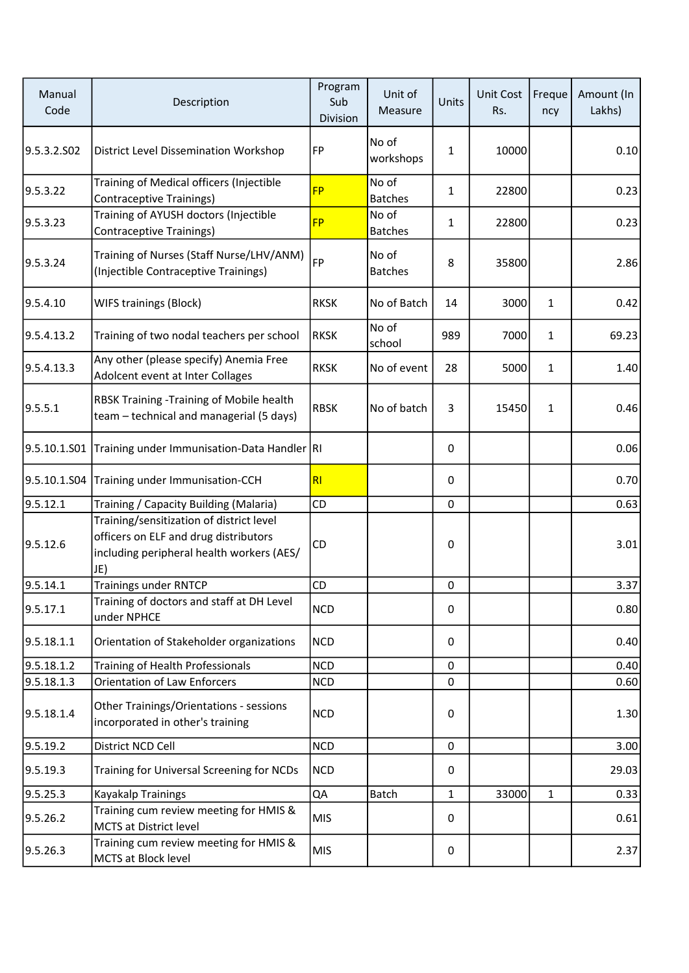| Manual<br>Code | Description                                                                                                                           | Program<br>Sub<br>Division | Unit of<br>Measure      | Units        | <b>Unit Cost</b><br>Rs. | Freque<br>ncy | Amount (In<br>Lakhs) |
|----------------|---------------------------------------------------------------------------------------------------------------------------------------|----------------------------|-------------------------|--------------|-------------------------|---------------|----------------------|
| 9.5.3.2.502    | District Level Dissemination Workshop                                                                                                 | FP                         | No of<br>workshops      | $\mathbf{1}$ | 10000                   |               | 0.10                 |
| 9.5.3.22       | Training of Medical officers (Injectible<br><b>Contraceptive Trainings)</b>                                                           | <b>FP</b>                  | No of<br><b>Batches</b> | $\mathbf{1}$ | 22800                   |               | 0.23                 |
| 9.5.3.23       | Training of AYUSH doctors (Injectible<br><b>Contraceptive Trainings)</b>                                                              | <b>FP</b>                  | No of<br><b>Batches</b> | 1            | 22800                   |               | 0.23                 |
| 9.5.3.24       | Training of Nurses (Staff Nurse/LHV/ANM)<br>(Injectible Contraceptive Trainings)                                                      | FP                         | No of<br><b>Batches</b> | 8            | 35800                   |               | 2.86                 |
| 9.5.4.10       | <b>WIFS trainings (Block)</b>                                                                                                         | <b>RKSK</b>                | No of Batch             | 14           | 3000                    | 1             | 0.42                 |
| 9.5.4.13.2     | Training of two nodal teachers per school                                                                                             | <b>RKSK</b>                | No of<br>school         | 989          | 7000                    | 1             | 69.23                |
| 9.5.4.13.3     | Any other (please specify) Anemia Free<br>Adolcent event at Inter Collages                                                            | <b>RKSK</b>                | No of event             | 28           | 5000                    | 1             | 1.40                 |
| 9.5.5.1        | RBSK Training - Training of Mobile health<br>team - technical and managerial (5 days)                                                 | <b>RBSK</b>                | No of batch             | 3            | 15450                   | $\mathbf{1}$  | 0.46                 |
| 9.5.10.1.S01   | Training under Immunisation-Data Handler RI                                                                                           |                            |                         | 0            |                         |               | 0.06                 |
| 9.5.10.1.S04   | Training under Immunisation-CCH                                                                                                       | R <sub>l</sub>             |                         | 0            |                         |               | 0.70                 |
| 9.5.12.1       | Training / Capacity Building (Malaria)                                                                                                | CD                         |                         | 0            |                         |               | 0.63                 |
| 9.5.12.6       | Training/sensitization of district level<br>officers on ELF and drug distributors<br>including peripheral health workers (AES/<br>JE) | <b>CD</b>                  |                         | 0            |                         |               | 3.01                 |
| 9.5.14.1       | <b>Trainings under RNTCP</b>                                                                                                          | CD                         |                         | $\pmb{0}$    |                         |               | 3.37                 |
| 9.5.17.1       | Training of doctors and staff at DH Level<br>under NPHCE                                                                              | <b>NCD</b>                 |                         | 0            |                         |               | 0.80                 |
| 9.5.18.1.1     | Orientation of Stakeholder organizations                                                                                              | <b>NCD</b>                 |                         | 0            |                         |               | 0.40                 |
| 9.5.18.1.2     | Training of Health Professionals                                                                                                      | <b>NCD</b>                 |                         | 0            |                         |               | 0.40                 |
| 9.5.18.1.3     | <b>Orientation of Law Enforcers</b>                                                                                                   | <b>NCD</b>                 |                         | 0            |                         |               | 0.60                 |
| 9.5.18.1.4     | Other Trainings/Orientations - sessions<br>incorporated in other's training                                                           | <b>NCD</b>                 |                         | 0            |                         |               | 1.30                 |
| 9.5.19.2       | District NCD Cell                                                                                                                     | <b>NCD</b>                 |                         | $\mathbf 0$  |                         |               | 3.00                 |
| 9.5.19.3       | Training for Universal Screening for NCDs                                                                                             | <b>NCD</b>                 |                         | 0            |                         |               | 29.03                |
| 9.5.25.3       | Kayakalp Trainings                                                                                                                    | QA                         | Batch                   | 1            | 33000                   | $\mathbf{1}$  | 0.33                 |
| 9.5.26.2       | Training cum review meeting for HMIS &<br>MCTS at District level                                                                      | <b>MIS</b>                 |                         | 0            |                         |               | 0.61                 |
| 9.5.26.3       | Training cum review meeting for HMIS &<br>MCTS at Block level                                                                         | <b>MIS</b>                 |                         | 0            |                         |               | 2.37                 |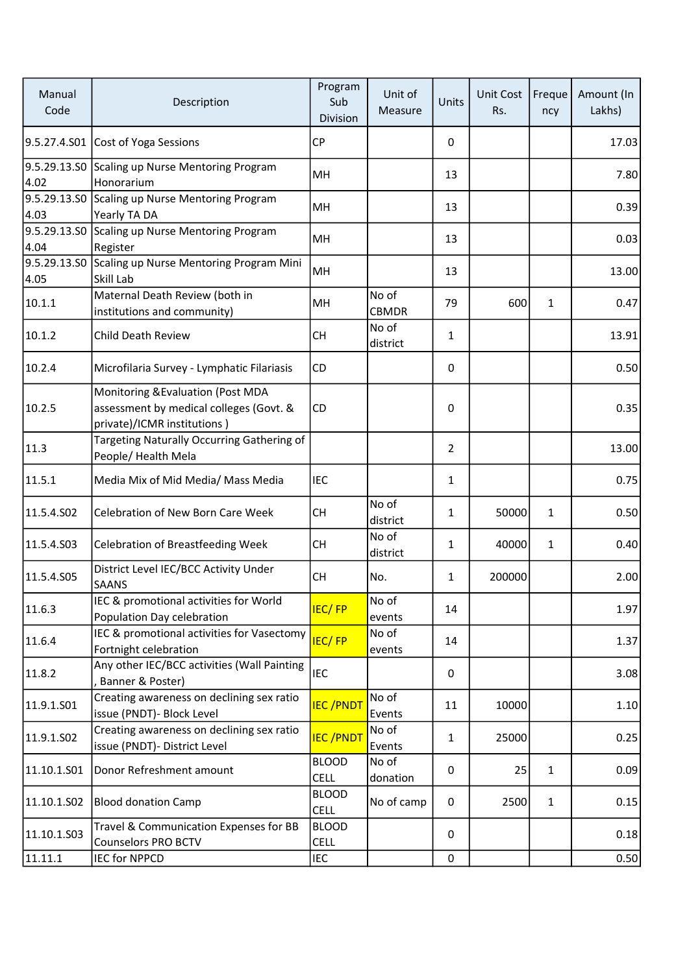| Manual<br>Code       | Description                                                                                                 | Program<br>Sub<br>Division  | Unit of<br>Measure    | Units          | <b>Unit Cost</b><br>Rs. | Freque<br>ncy | Amount (In<br>Lakhs) |
|----------------------|-------------------------------------------------------------------------------------------------------------|-----------------------------|-----------------------|----------------|-------------------------|---------------|----------------------|
| 9.5.27.4.S01         | Cost of Yoga Sessions                                                                                       | <b>CP</b>                   |                       | 0              |                         |               | 17.03                |
| 9.5.29.13.SO<br>4.02 | Scaling up Nurse Mentoring Program<br>Honorarium                                                            | MH                          |                       | 13             |                         |               | 7.80                 |
| 9.5.29.13.SO<br>4.03 | Scaling up Nurse Mentoring Program<br>Yearly TA DA                                                          | MH                          |                       | 13             |                         |               | 0.39                 |
| 9.5.29.13.SO<br>4.04 | Scaling up Nurse Mentoring Program<br>Register                                                              | MH                          |                       | 13             |                         |               | 0.03                 |
| 9.5.29.13.SO<br>4.05 | Scaling up Nurse Mentoring Program Mini<br>Skill Lab                                                        | MH                          |                       | 13             |                         |               | 13.00                |
| 10.1.1               | Maternal Death Review (both in<br>institutions and community)                                               | MH                          | No of<br><b>CBMDR</b> | 79             | 600                     | 1             | 0.47                 |
| 10.1.2               | <b>Child Death Review</b>                                                                                   | <b>CH</b>                   | No of<br>district     | $\mathbf{1}$   |                         |               | 13.91                |
| 10.2.4               | Microfilaria Survey - Lymphatic Filariasis                                                                  | CD                          |                       | 0              |                         |               | 0.50                 |
| 10.2.5               | Monitoring & Evaluation (Post MDA<br>assessment by medical colleges (Govt. &<br>private)/ICMR institutions) | CD                          |                       | 0              |                         |               | 0.35                 |
| 11.3                 | Targeting Naturally Occurring Gathering of<br>People/ Health Mela                                           |                             |                       | $\overline{2}$ |                         |               | 13.00                |
| 11.5.1               | Media Mix of Mid Media/ Mass Media                                                                          | <b>IEC</b>                  |                       | $\mathbf{1}$   |                         |               | 0.75                 |
| 11.5.4.S02           | Celebration of New Born Care Week                                                                           | <b>CH</b>                   | No of<br>district     | $\mathbf{1}$   | 50000                   | 1             | 0.50                 |
| 11.5.4.S03           | <b>Celebration of Breastfeeding Week</b>                                                                    | <b>CH</b>                   | No of<br>district     | 1              | 40000                   | 1             | 0.40                 |
| 11.5.4.S05           | District Level IEC/BCC Activity Under<br>SAANS                                                              | <b>CH</b>                   | No.                   | $\mathbf{1}$   | 200000                  |               | 2.00                 |
| 11.6.3               | IEC & promotional activities for World<br>Population Day celebration                                        | <b>IEC/FP</b>               | No of<br>events       | 14             |                         |               | 1.97                 |
| 11.6.4               | IEC & promotional activities for Vasectomy<br>Fortnight celebration                                         | <b>IEC/FP</b>               | No of<br>events       | 14             |                         |               | 1.37                 |
| 11.8.2               | Any other IEC/BCC activities (Wall Painting<br>Banner & Poster)                                             | <b>IEC</b>                  |                       | 0              |                         |               | 3.08                 |
| 11.9.1.S01           | Creating awareness on declining sex ratio<br>issue (PNDT)- Block Level                                      | <b>IEC/PNDT</b>             | No of<br>Events       | 11             | 10000                   |               | 1.10                 |
| 11.9.1.S02           | Creating awareness on declining sex ratio<br>issue (PNDT)- District Level                                   | <b>IEC/PNDT</b>             | No of<br>Events       | 1              | 25000                   |               | 0.25                 |
| 11.10.1.501          | Donor Refreshment amount                                                                                    | <b>BLOOD</b><br><b>CELL</b> | No of<br>donation     | 0              | 25                      | 1             | 0.09                 |
| 11.10.1.S02          | <b>Blood donation Camp</b>                                                                                  | <b>BLOOD</b><br><b>CELL</b> | No of camp            | 0              | 2500                    | $\mathbf{1}$  | 0.15                 |
| 11.10.1.503          | Travel & Communication Expenses for BB<br><b>Counselors PRO BCTV</b>                                        | <b>BLOOD</b><br><b>CELL</b> |                       | 0              |                         |               | 0.18                 |
| 11.11.1              | <b>IEC for NPPCD</b>                                                                                        | <b>IEC</b>                  |                       | $\mathbf 0$    |                         |               | 0.50                 |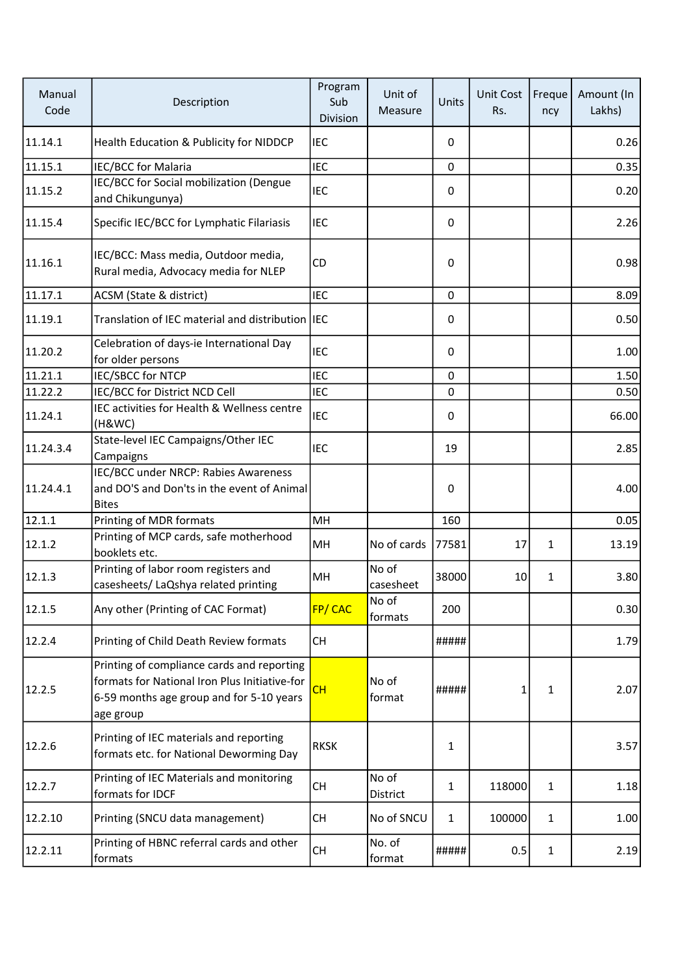| Manual<br>Code | Description                                                                                                                                          | Program<br>Sub<br>Division | Unit of<br>Measure | Units        | <b>Unit Cost</b><br>Rs. | Freque<br>ncy | Amount (In<br>Lakhs) |
|----------------|------------------------------------------------------------------------------------------------------------------------------------------------------|----------------------------|--------------------|--------------|-------------------------|---------------|----------------------|
| 11.14.1        | Health Education & Publicity for NIDDCP                                                                                                              | <b>IEC</b>                 |                    | 0            |                         |               | 0.26                 |
| 11.15.1        | IEC/BCC for Malaria                                                                                                                                  | <b>IEC</b>                 |                    | 0            |                         |               | 0.35                 |
| 11.15.2        | IEC/BCC for Social mobilization (Dengue<br>and Chikungunya)                                                                                          | <b>IEC</b>                 |                    | 0            |                         |               | 0.20                 |
| 11.15.4        | Specific IEC/BCC for Lymphatic Filariasis                                                                                                            | <b>IEC</b>                 |                    | 0            |                         |               | 2.26                 |
| 11.16.1        | IEC/BCC: Mass media, Outdoor media,<br>Rural media, Advocacy media for NLEP                                                                          | CD                         |                    | 0            |                         |               | 0.98                 |
| 11.17.1        | ACSM (State & district)                                                                                                                              | <b>IEC</b>                 |                    | $\mathbf 0$  |                         |               | 8.09                 |
| 11.19.1        | Translation of IEC material and distribution IEC                                                                                                     |                            |                    | 0            |                         |               | 0.50                 |
| 11.20.2        | Celebration of days-ie International Day<br>for older persons                                                                                        | <b>IEC</b>                 |                    | 0            |                         |               | 1.00                 |
| 11.21.1        | <b>IEC/SBCC for NTCP</b>                                                                                                                             | <b>IEC</b>                 |                    | 0            |                         |               | 1.50                 |
| 11.22.2        | IEC/BCC for District NCD Cell                                                                                                                        | <b>IEC</b>                 |                    | 0            |                         |               | 0.50                 |
| 11.24.1        | IEC activities for Health & Wellness centre<br>(H&WC)                                                                                                | <b>IEC</b>                 |                    | 0            |                         |               | 66.00                |
| 11.24.3.4      | State-level IEC Campaigns/Other IEC<br>Campaigns                                                                                                     | <b>IEC</b>                 |                    | 19           |                         |               | 2.85                 |
| 11.24.4.1      | IEC/BCC under NRCP: Rabies Awareness<br>and DO'S and Don'ts in the event of Animal<br><b>Bites</b>                                                   |                            |                    | 0            |                         |               | 4.00                 |
| 12.1.1         | Printing of MDR formats                                                                                                                              | MH                         |                    | 160          |                         |               | 0.05                 |
| 12.1.2         | Printing of MCP cards, safe motherhood<br>booklets etc.                                                                                              | MH                         | No of cards        | 77581        | 17                      | 1             | 13.19                |
| 12.1.3         | Printing of labor room registers and<br>casesheets/ LaQshya related printing                                                                         | MH                         | No of<br>casesheet | 38000        | 10                      | 1             | 3.80                 |
| 12.1.5         | Any other (Printing of CAC Format)                                                                                                                   | FP/CAC                     | No of<br>formats   | 200          |                         |               | 0.30                 |
| 12.2.4         | Printing of Child Death Review formats                                                                                                               | <b>CH</b>                  |                    | #####        |                         |               | 1.79                 |
| 12.2.5         | Printing of compliance cards and reporting<br>formats for National Iron Plus Initiative-for<br>6-59 months age group and for 5-10 years<br>age group | CH                         | No of<br>format    | #####        | 1                       | $\mathbf{1}$  | 2.07                 |
| 12.2.6         | Printing of IEC materials and reporting<br>formats etc. for National Deworming Day                                                                   | <b>RKSK</b>                |                    | 1            |                         |               | 3.57                 |
| 12.2.7         | Printing of IEC Materials and monitoring<br>formats for IDCF                                                                                         | <b>CH</b>                  | No of<br>District  | 1            | 118000                  | $\mathbf{1}$  | 1.18                 |
| 12.2.10        | Printing (SNCU data management)                                                                                                                      | <b>CH</b>                  | No of SNCU         | $\mathbf{1}$ | 100000                  | $\mathbf{1}$  | 1.00                 |
| 12.2.11        | Printing of HBNC referral cards and other<br>formats                                                                                                 | <b>CH</b>                  | No. of<br>format   | #####        | 0.5                     | $\mathbf{1}$  | 2.19                 |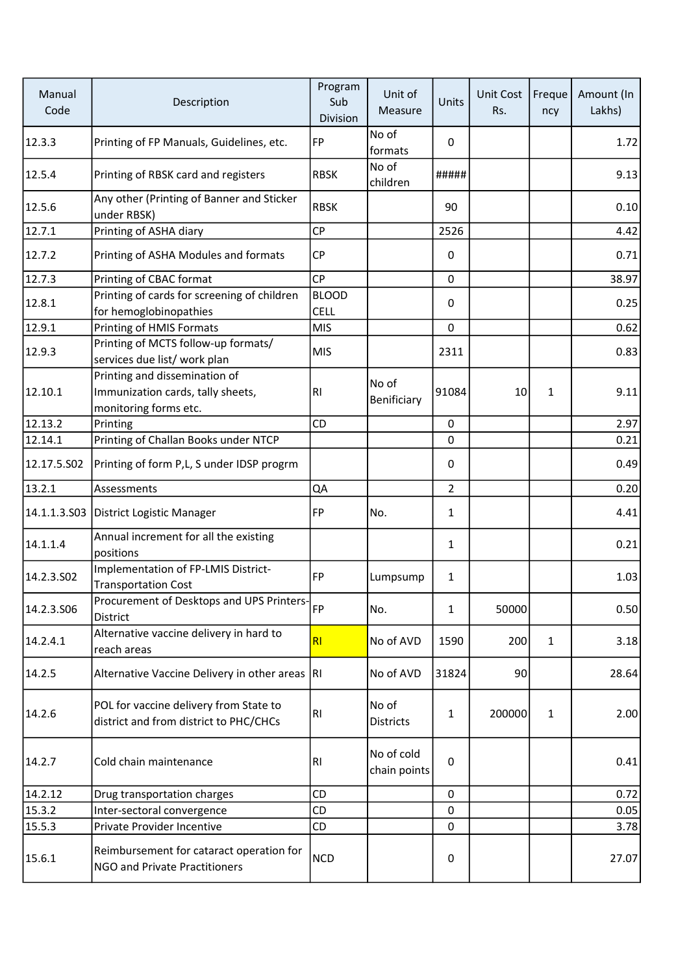| Manual<br>Code | Description                                                                                 | Program<br>Sub<br>Division  | Unit of<br>Measure         | Units          | Unit Cost<br>Rs. | Freque<br>ncy | Amount (In<br>Lakhs) |
|----------------|---------------------------------------------------------------------------------------------|-----------------------------|----------------------------|----------------|------------------|---------------|----------------------|
| 12.3.3         | Printing of FP Manuals, Guidelines, etc.                                                    | FP                          | No of<br>formats           | 0              |                  |               | 1.72                 |
| 12.5.4         | Printing of RBSK card and registers                                                         | <b>RBSK</b>                 | No of<br>children          | #####          |                  |               | 9.13                 |
| 12.5.6         | Any other (Printing of Banner and Sticker<br>under RBSK)                                    | <b>RBSK</b>                 |                            | 90             |                  |               | 0.10                 |
| 12.7.1         | Printing of ASHA diary                                                                      | CP                          |                            | 2526           |                  |               | 4.42                 |
| 12.7.2         | Printing of ASHA Modules and formats                                                        | <b>CP</b>                   |                            | 0              |                  |               | 0.71                 |
| 12.7.3         | Printing of CBAC format                                                                     | <b>CP</b>                   |                            | 0              |                  |               | 38.97                |
| 12.8.1         | Printing of cards for screening of children<br>for hemoglobinopathies                       | <b>BLOOD</b><br><b>CELL</b> |                            | 0              |                  |               | 0.25                 |
| 12.9.1         | Printing of HMIS Formats                                                                    | <b>MIS</b>                  |                            | 0              |                  |               | 0.62                 |
| 12.9.3         | Printing of MCTS follow-up formats/<br>services due list/ work plan                         | <b>MIS</b>                  |                            | 2311           |                  |               | 0.83                 |
| 12.10.1        | Printing and dissemination of<br>Immunization cards, tally sheets,<br>monitoring forms etc. | RI                          | No of<br>Benificiary       | 91084          | 10               | 1             | 9.11                 |
| 12.13.2        | Printing                                                                                    | <b>CD</b>                   |                            | 0              |                  |               | 2.97                 |
| 12.14.1        | Printing of Challan Books under NTCP                                                        |                             |                            | 0              |                  |               | 0.21                 |
| 12.17.5.S02    | Printing of form P,L, S under IDSP progrm                                                   |                             |                            | 0              |                  |               | 0.49                 |
| 13.2.1         | Assessments                                                                                 | QA                          |                            | $\overline{2}$ |                  |               | 0.20                 |
| 14.1.1.3.S03   | District Logistic Manager                                                                   | FP                          | No.                        | $\mathbf{1}$   |                  |               | 4.41                 |
| 14.1.1.4       | Annual increment for all the existing<br>positions                                          |                             |                            | $\mathbf{1}$   |                  |               | 0.21                 |
| 14.2.3.502     | Implementation of FP-LMIS District-<br><b>Transportation Cost</b>                           | FP                          | Lumpsump                   | 1              |                  |               | 1.03                 |
| 14.2.3.506     | Procurement of Desktops and UPS Printers-<br>District                                       |                             | No.                        | $\mathbf{1}$   | 50000            |               | 0.50                 |
| 14.2.4.1       | Alternative vaccine delivery in hard to<br>reach areas                                      | RI                          | No of AVD                  | 1590           | 200              | $\mathbf{1}$  | 3.18                 |
| 14.2.5         | Alternative Vaccine Delivery in other areas                                                 | IRI.                        | No of AVD                  | 31824          | 90               |               | 28.64                |
| 14.2.6         | POL for vaccine delivery from State to<br>district and from district to PHC/CHCs            | RI                          | No of<br><b>Districts</b>  | 1              | 200000           | $\mathbf{1}$  | 2.00                 |
| 14.2.7         | Cold chain maintenance                                                                      | R1                          | No of cold<br>chain points | 0              |                  |               | 0.41                 |
| 14.2.12        | Drug transportation charges                                                                 | <b>CD</b>                   |                            | 0              |                  |               | 0.72                 |
| 15.3.2         | Inter-sectoral convergence                                                                  | CD                          |                            | 0              |                  |               | 0.05                 |
| 15.5.3         | Private Provider Incentive                                                                  | CD                          |                            | 0              |                  |               | 3.78                 |
| 15.6.1         | Reimbursement for cataract operation for<br>NGO and Private Practitioners                   | <b>NCD</b>                  |                            | 0              |                  |               | 27.07                |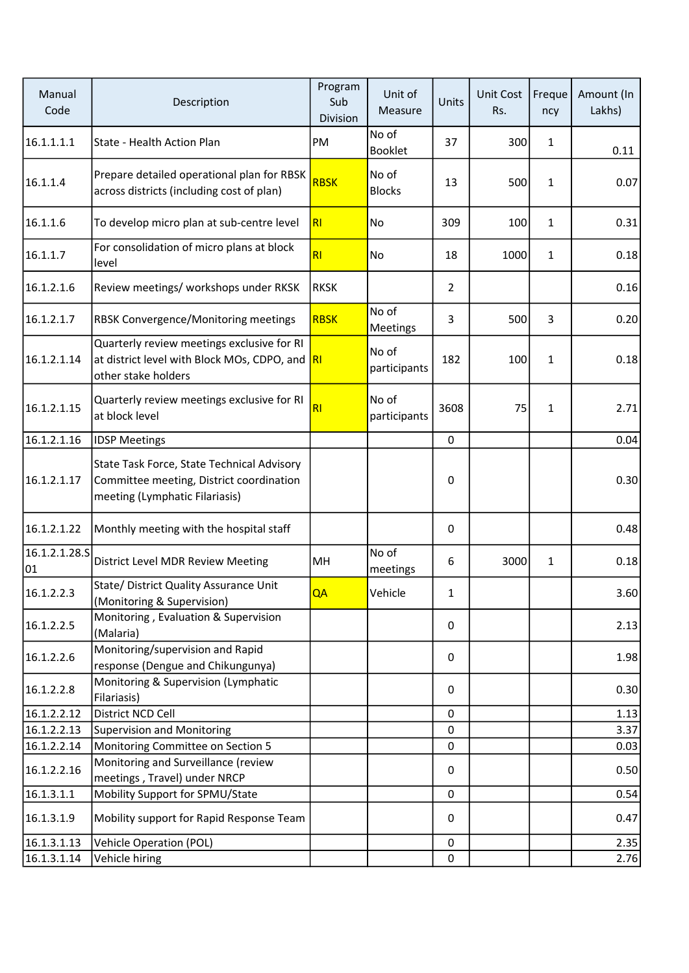| Manual<br>Code      | Description                                                                                                              | Program<br>Sub<br>Division | Unit of<br>Measure     | Units          | <b>Unit Cost</b><br>Rs. | Freque<br>ncy  | Amount (In<br>Lakhs) |
|---------------------|--------------------------------------------------------------------------------------------------------------------------|----------------------------|------------------------|----------------|-------------------------|----------------|----------------------|
| 16.1.1.1.1          | State - Health Action Plan                                                                                               | PM                         | No of<br>Booklet       | 37             | 300                     | $\mathbf{1}$   | 0.11                 |
| 16.1.1.4            | Prepare detailed operational plan for RBSK<br>across districts (including cost of plan)                                  | <b>RBSK</b>                | No of<br><b>Blocks</b> | 13             | 500                     | $\mathbf{1}$   | 0.07                 |
| 16.1.1.6            | To develop micro plan at sub-centre level                                                                                | R1                         | No                     | 309            | 100                     | $\mathbf{1}$   | 0.31                 |
| 16.1.1.7            | For consolidation of micro plans at block<br>level                                                                       | RI                         | No                     | 18             | 1000                    | $\mathbf{1}$   | 0.18                 |
| 16.1.2.1.6          | Review meetings/ workshops under RKSK                                                                                    | <b>RKSK</b>                |                        | $\overline{2}$ |                         |                | 0.16                 |
| 16.1.2.1.7          | RBSK Convergence/Monitoring meetings                                                                                     | <b>RBSK</b>                | No of<br>Meetings      | 3              | 500                     | $\overline{3}$ | 0.20                 |
| 16.1.2.1.14         | Quarterly review meetings exclusive for RI<br>at district level with Block MOs, CDPO, and RI<br>other stake holders      |                            | No of<br>participants  | 182            | 100                     | 1              | 0.18                 |
| 16.1.2.1.15         | Quarterly review meetings exclusive for RI<br>at block level                                                             | R <sub>l</sub>             | No of<br>participants  | 3608           | 75                      | 1              | 2.71                 |
| 16.1.2.1.16         | <b>IDSP Meetings</b>                                                                                                     |                            |                        | 0              |                         |                | 0.04                 |
| 16.1.2.1.17         | State Task Force, State Technical Advisory<br>Committee meeting, District coordination<br>meeting (Lymphatic Filariasis) |                            |                        | 0              |                         |                | 0.30                 |
| 16.1.2.1.22         | Monthly meeting with the hospital staff                                                                                  |                            |                        | 0              |                         |                | 0.48                 |
| 16.1.2.1.28.5<br>01 | District Level MDR Review Meeting                                                                                        | MH                         | No of<br>meetings      | 6              | 3000                    | 1              | 0.18                 |
| 16.1.2.2.3          | State/ District Quality Assurance Unit<br>(Monitoring & Supervision)                                                     | QA                         | Vehicle                | 1              |                         |                | 3.60                 |
| 16.1.2.2.5          | Monitoring, Evaluation & Supervision<br>(Malaria)                                                                        |                            |                        | 0              |                         |                | 2.13                 |
| 16.1.2.2.6          | Monitoring/supervision and Rapid<br>response (Dengue and Chikungunya)                                                    |                            |                        | 0              |                         |                | 1.98                 |
| 16.1.2.2.8          | Monitoring & Supervision (Lymphatic<br>Filariasis)                                                                       |                            |                        | 0              |                         |                | 0.30                 |
| 16.1.2.2.12         | District NCD Cell                                                                                                        |                            |                        | 0              |                         |                | 1.13                 |
| 16.1.2.2.13         | <b>Supervision and Monitoring</b>                                                                                        |                            |                        | 0              |                         |                | 3.37                 |
| 16.1.2.2.14         | Monitoring Committee on Section 5                                                                                        |                            |                        | 0              |                         |                | 0.03                 |
| 16.1.2.2.16         | Monitoring and Surveillance (review<br>meetings, Travel) under NRCP                                                      |                            |                        | 0              |                         |                | 0.50                 |
| 16.1.3.1.1          | Mobility Support for SPMU/State                                                                                          |                            |                        | 0              |                         |                | 0.54                 |
| 16.1.3.1.9          | Mobility support for Rapid Response Team                                                                                 |                            |                        | 0              |                         |                | 0.47                 |
| 16.1.3.1.13         | <b>Vehicle Operation (POL)</b>                                                                                           |                            |                        | 0              |                         |                | 2.35                 |
| 16.1.3.1.14         | Vehicle hiring                                                                                                           |                            |                        | 0              |                         |                | 2.76                 |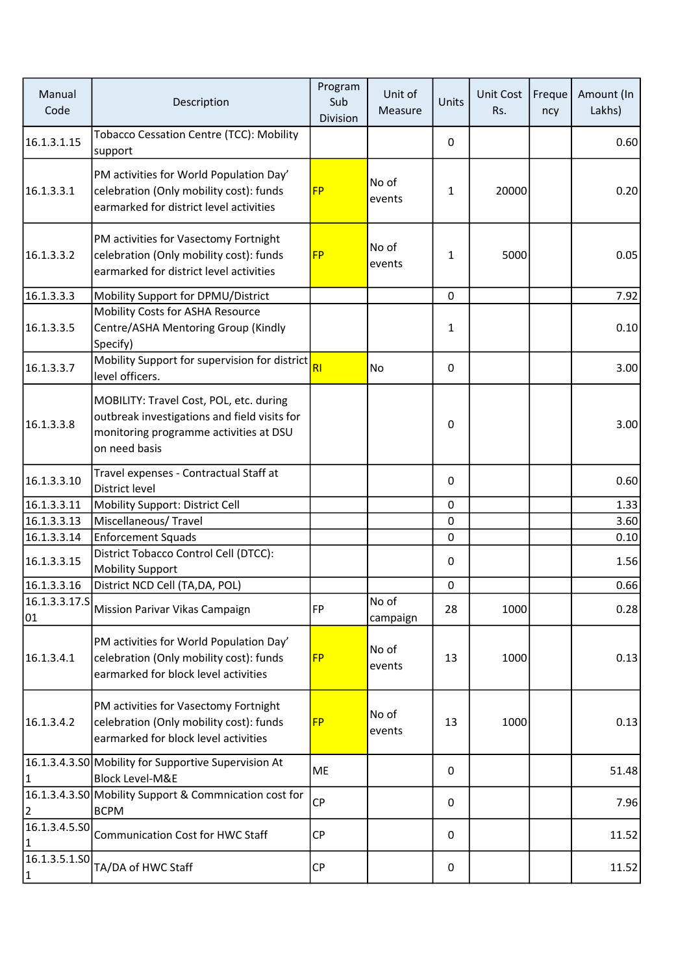| Manual<br>Code      | Description                                                                                                                                        | Program<br>Sub<br>Division | Unit of<br>Measure | Units        | Unit Cost<br>Rs. | Freque<br>ncy | Amount (In<br>Lakhs) |
|---------------------|----------------------------------------------------------------------------------------------------------------------------------------------------|----------------------------|--------------------|--------------|------------------|---------------|----------------------|
| 16.1.3.1.15         | <b>Tobacco Cessation Centre (TCC): Mobility</b><br>support                                                                                         |                            |                    | 0            |                  |               | 0.60                 |
| 16.1.3.3.1          | PM activities for World Population Day'<br>celebration (Only mobility cost): funds<br>earmarked for district level activities                      | <b>FP</b>                  | No of<br>events    | $\mathbf{1}$ | 20000            |               | 0.20                 |
| 16.1.3.3.2          | PM activities for Vasectomy Fortnight<br>celebration (Only mobility cost): funds<br>earmarked for district level activities                        | <b>FP</b>                  | No of<br>events    | $\mathbf{1}$ | 5000             |               | 0.05                 |
| 16.1.3.3.3          | Mobility Support for DPMU/District                                                                                                                 |                            |                    | $\mathbf 0$  |                  |               | 7.92                 |
| 16.1.3.3.5          | Mobility Costs for ASHA Resource<br>Centre/ASHA Mentoring Group (Kindly<br>Specify)                                                                |                            |                    | $\mathbf{1}$ |                  |               | 0.10                 |
| 16.1.3.3.7          | Mobility Support for supervision for district<br>level officers.                                                                                   | R1                         | No                 | 0            |                  |               | 3.00                 |
| 16.1.3.3.8          | MOBILITY: Travel Cost, POL, etc. during<br>outbreak investigations and field visits for<br>monitoring programme activities at DSU<br>on need basis |                            |                    | 0            |                  |               | 3.00                 |
| 16.1.3.3.10         | Travel expenses - Contractual Staff at<br>District level                                                                                           |                            |                    | 0            |                  |               | 0.60                 |
| 16.1.3.3.11         | Mobility Support: District Cell                                                                                                                    |                            |                    | 0            |                  |               | 1.33                 |
| 16.1.3.3.13         | Miscellaneous/Travel                                                                                                                               |                            |                    | 0            |                  |               | 3.60                 |
| 16.1.3.3.14         | <b>Enforcement Squads</b>                                                                                                                          |                            |                    | $\mathbf 0$  |                  |               | 0.10                 |
| 16.1.3.3.15         | District Tobacco Control Cell (DTCC):<br><b>Mobility Support</b>                                                                                   |                            |                    | 0            |                  |               | 1.56                 |
| 16.1.3.3.16         | District NCD Cell (TA,DA, POL)                                                                                                                     |                            |                    | $\mathsf 0$  |                  |               | 0.66                 |
| 01                  | 16.1.3.3.17.S Mission Parivar Vikas Campaign                                                                                                       | FP                         | No of<br>campaign  | 28           | 1000             |               | 0.28                 |
| 16.1.3.4.1          | PM activities for World Population Day'<br>celebration (Only mobility cost): funds<br>earmarked for block level activities                         | <b>FP</b>                  | No of<br>events    | 13           | 1000             |               | 0.13                 |
| 16.1.3.4.2          | PM activities for Vasectomy Fortnight<br>celebration (Only mobility cost): funds<br>earmarked for block level activities                           | <b>FP</b>                  | No of<br>events    | 13           | 1000             |               | 0.13                 |
| 11                  | 16.1.3.4.3.50 Mobility for Supportive Supervision At<br><b>Block Level-M&amp;E</b>                                                                 | ME                         |                    | 0            |                  |               | 51.48                |
| 2                   | 16.1.3.4.3.S0 Mobility Support & Commnication cost for<br><b>BCPM</b>                                                                              | <b>CP</b>                  |                    | 0            |                  |               | 7.96                 |
| 16.1.3.4.5.50<br> 1 | <b>Communication Cost for HWC Staff</b>                                                                                                            | <b>CP</b>                  |                    | 0            |                  |               | 11.52                |
| 16.1.3.5.1.SO<br> 1 | TA/DA of HWC Staff                                                                                                                                 | <b>CP</b>                  |                    | 0            |                  |               | 11.52                |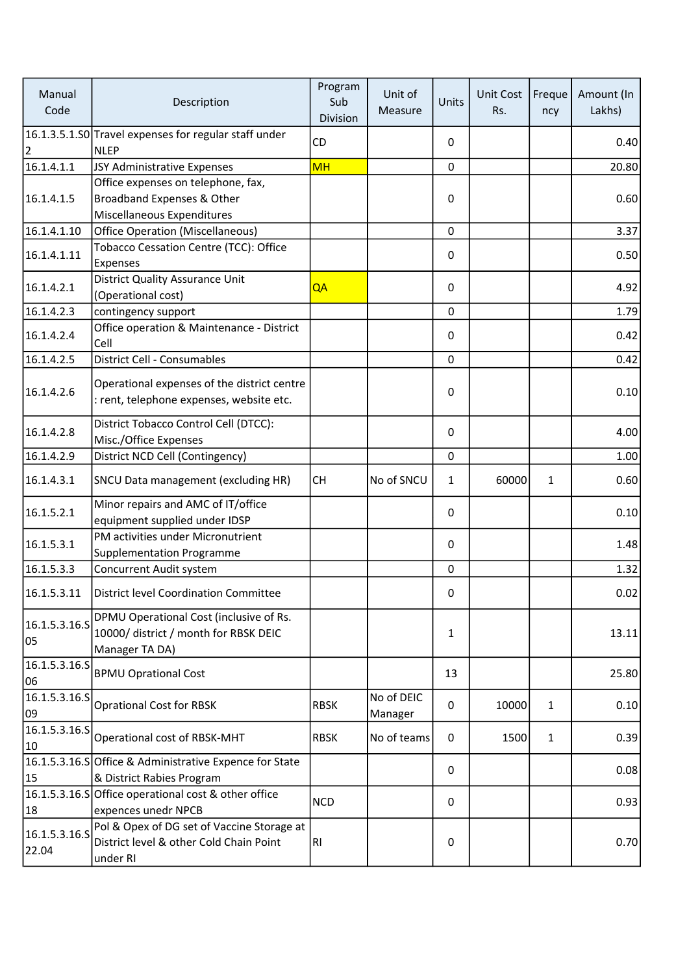| Manual<br>Code         | Description                                                                                        | Program<br>Sub<br>Division | Unit of<br>Measure    | Units        | <b>Unit Cost</b><br>Rs. | Freque<br>ncy | Amount (In<br>Lakhs) |
|------------------------|----------------------------------------------------------------------------------------------------|----------------------------|-----------------------|--------------|-------------------------|---------------|----------------------|
|                        | 16.1.3.5.1.SO Travel expenses for regular staff under                                              | <b>CD</b>                  |                       | 0            |                         |               | 0.40                 |
| 2                      | <b>NLEP</b>                                                                                        |                            |                       |              |                         |               |                      |
| 16.1.4.1.1             | JSY Administrative Expenses                                                                        | <b>MH</b>                  |                       | $\mathbf 0$  |                         |               | 20.80                |
|                        | Office expenses on telephone, fax,                                                                 |                            |                       |              |                         |               |                      |
| 16.1.4.1.5             | Broadband Expenses & Other                                                                         |                            |                       | 0            |                         |               | 0.60                 |
|                        | Miscellaneous Expenditures                                                                         |                            |                       |              |                         |               |                      |
| 16.1.4.1.10            | <b>Office Operation (Miscellaneous)</b>                                                            |                            |                       | 0            |                         |               | 3.37                 |
| 16.1.4.1.11            | Tobacco Cessation Centre (TCC): Office<br>Expenses                                                 |                            |                       | 0            |                         |               | 0.50                 |
| 16.1.4.2.1             | District Quality Assurance Unit<br>(Operational cost)                                              | QA                         |                       | 0            |                         |               | 4.92                 |
| 16.1.4.2.3             | contingency support                                                                                |                            |                       | 0            |                         |               | 1.79                 |
| 16.1.4.2.4             | Office operation & Maintenance - District<br>Cell                                                  |                            |                       | 0            |                         |               | 0.42                 |
| 16.1.4.2.5             | District Cell - Consumables                                                                        |                            |                       | 0            |                         |               | 0.42                 |
| 16.1.4.2.6             | Operational expenses of the district centre<br>: rent, telephone expenses, website etc.            |                            |                       | 0            |                         |               | 0.10                 |
| 16.1.4.2.8             | District Tobacco Control Cell (DTCC):<br>Misc./Office Expenses                                     |                            |                       | 0            |                         |               | 4.00                 |
| 16.1.4.2.9             | District NCD Cell (Contingency)                                                                    |                            |                       | 0            |                         |               | 1.00                 |
| 16.1.4.3.1             | SNCU Data management (excluding HR)                                                                | <b>CH</b>                  | No of SNCU            | $\mathbf{1}$ | 60000                   | $\mathbf{1}$  | 0.60                 |
| 16.1.5.2.1             | Minor repairs and AMC of IT/office<br>equipment supplied under IDSP                                |                            |                       | 0            |                         |               | 0.10                 |
| 16.1.5.3.1             | PM activities under Micronutrient<br><b>Supplementation Programme</b>                              |                            |                       | 0            |                         |               | 1.48                 |
| 16.1.5.3.3             | Concurrent Audit system                                                                            |                            |                       | 0            |                         |               | 1.32                 |
|                        | 16.1.5.3.11   District level Coordination Committee                                                |                            |                       | 0            |                         |               | 0.02                 |
| 16.1.5.3.16.5<br>05    | DPMU Operational Cost (inclusive of Rs.<br>10000/ district / month for RBSK DEIC<br>Manager TA DA) |                            |                       | 1            |                         |               | 13.11                |
| 16.1.5.3.16.5<br>06    | <b>BPMU Oprational Cost</b>                                                                        |                            |                       | 13           |                         |               | 25.80                |
| 16.1.5.3.16.S<br>09    | <b>Oprational Cost for RBSK</b>                                                                    | <b>RBSK</b>                | No of DEIC<br>Manager | 0            | 10000                   | $\mathbf{1}$  | 0.10                 |
| 16.1.5.3.16.5<br>10    | Operational cost of RBSK-MHT                                                                       | <b>RBSK</b>                | No of teams           | 0            | 1500                    | $\mathbf{1}$  | 0.39                 |
|                        | 16.1.5.3.16.S Office & Administrative Expence for State                                            |                            |                       | 0            |                         |               | 0.08                 |
| 15                     | & District Rabies Program                                                                          |                            |                       |              |                         |               |                      |
| 18                     | 16.1.5.3.16.S Office operational cost & other office<br>expences unedr NPCB                        | <b>NCD</b>                 |                       | 0            |                         |               | 0.93                 |
| 16.1.5.3.16.S<br>22.04 | Pol & Opex of DG set of Vaccine Storage at<br>District level & other Cold Chain Point<br>under RI  | RI                         |                       | 0            |                         |               | 0.70                 |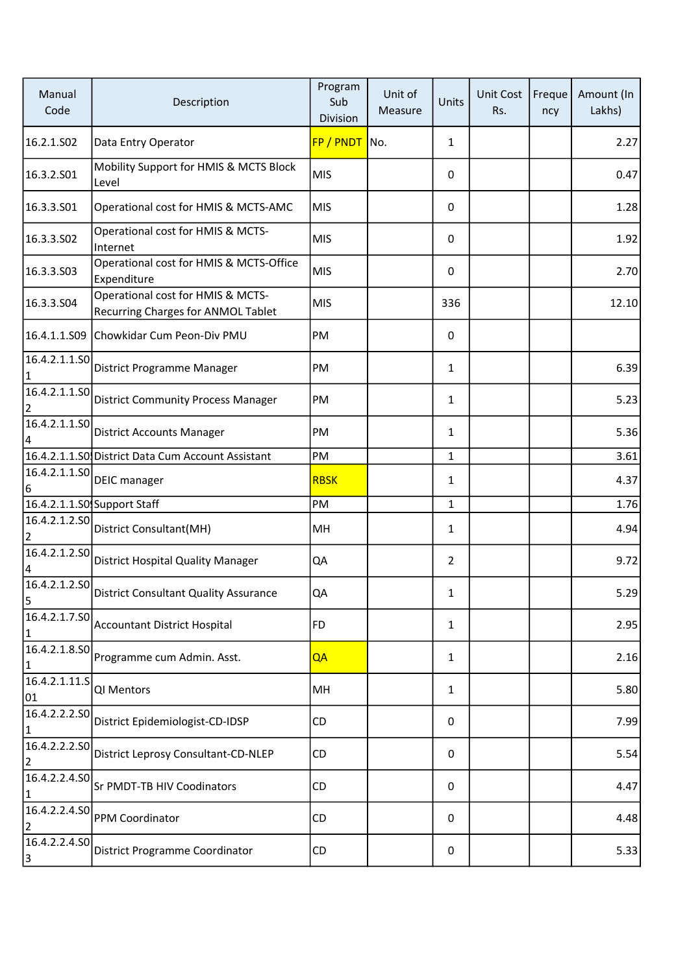| Manual<br>Code                  | Description                                                             | Program<br>Sub<br>Division | Unit of<br>Measure | Units          | <b>Unit Cost</b><br>Rs. | Freque<br>ncy | Amount (In<br>Lakhs) |
|---------------------------------|-------------------------------------------------------------------------|----------------------------|--------------------|----------------|-------------------------|---------------|----------------------|
| 16.2.1.S02                      | Data Entry Operator                                                     | FP / PNDT                  | No.                | $\mathbf{1}$   |                         |               | 2.27                 |
| 16.3.2.S01                      | Mobility Support for HMIS & MCTS Block<br>Level                         | <b>MIS</b>                 |                    | 0              |                         |               | 0.47                 |
| 16.3.3.501                      | Operational cost for HMIS & MCTS-AMC                                    | <b>MIS</b>                 |                    | 0              |                         |               | 1.28                 |
| 16.3.3.502                      | Operational cost for HMIS & MCTS-<br>Internet                           | <b>MIS</b>                 |                    | 0              |                         |               | 1.92                 |
| 16.3.3.503                      | Operational cost for HMIS & MCTS-Office<br>Expenditure                  | <b>MIS</b>                 |                    | 0              |                         |               | 2.70                 |
| 16.3.3.504                      | Operational cost for HMIS & MCTS-<br>Recurring Charges for ANMOL Tablet | <b>MIS</b>                 |                    | 336            |                         |               | 12.10                |
| 16.4.1.1.S09                    | Chowkidar Cum Peon-Div PMU                                              | PM                         |                    | 0              |                         |               |                      |
| 16.4.2.1.1.SO<br>$\mathbf{1}$   | District Programme Manager                                              | PM                         |                    | 1              |                         |               | 6.39                 |
| 16.4.2.1.1.SO<br>$\overline{2}$ | <b>District Community Process Manager</b>                               | PM                         |                    | 1              |                         |               | 5.23                 |
| 16.4.2.1.1.50<br>4              | <b>District Accounts Manager</b>                                        | PM                         |                    | 1              |                         |               | 5.36                 |
|                                 | 16.4.2.1.1.SO District Data Cum Account Assistant                       | PM                         |                    | 1              |                         |               | 3.61                 |
| 16.4.2.1.1.SO<br>16             | <b>DEIC</b> manager                                                     | <b>RBSK</b>                |                    | 1              |                         |               | 4.37                 |
|                                 | 16.4.2.1.1.S0 Support Staff                                             | PM                         |                    | $\mathbf{1}$   |                         |               | 1.76                 |
| 16.4.2.1.2.SO<br>2              | District Consultant(MH)                                                 | MH                         |                    | 1              |                         |               | 4.94                 |
| 16.4.2.1.2.SO<br>4              | <b>District Hospital Quality Manager</b>                                | QA                         |                    | $\overline{2}$ |                         |               | 9.72                 |
| 5                               | 16.4.2.1.2.S0 District Consultant Quality Assurance                     | QA                         |                    | 1              |                         |               | 5.29                 |
| 16.4.2.1.7.SO<br> 1             | <b>Accountant District Hospital</b>                                     | FD                         |                    | 1              |                         |               | 2.95                 |
| 16.4.2.1.8.SO<br>$\vert$ 1      | Programme cum Admin. Asst.                                              | QA                         |                    | 1              |                         |               | 2.16                 |
| 16.4.2.1.11.5<br>01             | QI Mentors                                                              | MH                         |                    | $\mathbf{1}$   |                         |               | 5.80                 |
| 16.4.2.2.2.SO<br>$\vert$ 1      | District Epidemiologist-CD-IDSP                                         | CD                         |                    | 0              |                         |               | 7.99                 |
| 16.4.2.2.2.SO<br>2              | District Leprosy Consultant-CD-NLEP                                     | CD                         |                    | 0              |                         |               | 5.54                 |
| 16.4.2.2.4.50<br> 1             | Sr PMDT-TB HIV Coodinators                                              | CD                         |                    | 0              |                         |               | 4.47                 |
| 16.4.2.2.4.50<br>$ 2\rangle$    | PPM Coordinator                                                         | CD                         |                    | 0              |                         |               | 4.48                 |
| 16.4.2.2.4.SO<br>3              | District Programme Coordinator                                          | CD                         |                    | 0              |                         |               | 5.33                 |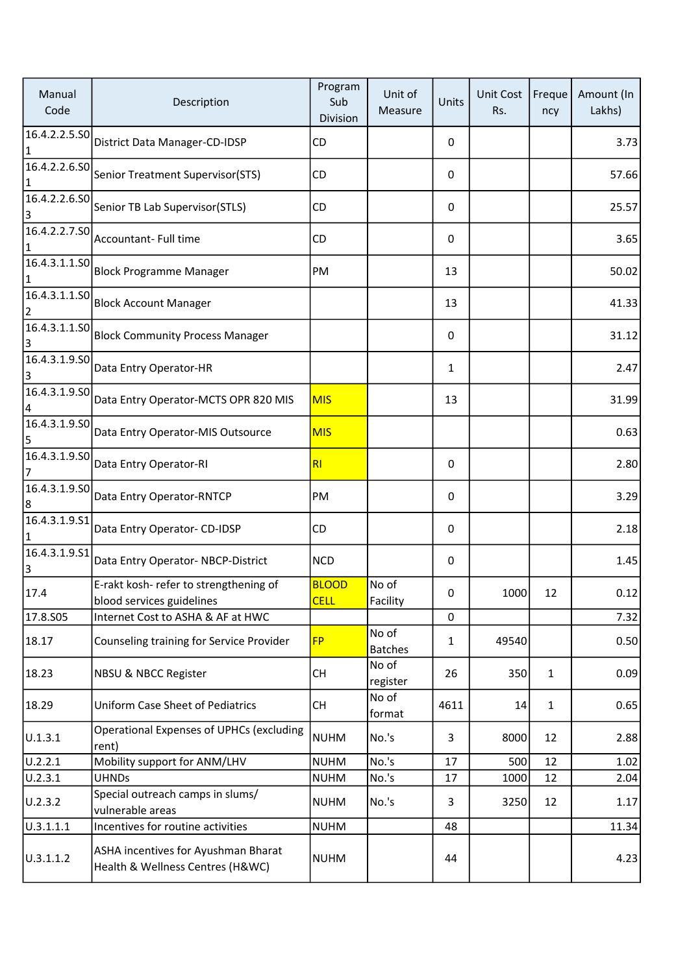| Manual<br>Code             | Description                                                             | Program<br>Sub<br>Division  | Unit of<br>Measure      | Units       | <b>Unit Cost</b><br>Rs. | Freque<br>ncy | Amount (In<br>Lakhs) |
|----------------------------|-------------------------------------------------------------------------|-----------------------------|-------------------------|-------------|-------------------------|---------------|----------------------|
| 16.4.2.2.5.SO<br>$\vert$ 1 | District Data Manager-CD-IDSP                                           | CD                          |                         | 0           |                         |               | 3.73                 |
| 16.4.2.2.6.50<br>1         | Senior Treatment Supervisor(STS)                                        | CD                          |                         | 0           |                         |               | 57.66                |
| 16.4.2.2.6.SO<br>3         | Senior TB Lab Supervisor(STLS)                                          | CD                          |                         | 0           |                         |               | 25.57                |
| 16.4.2.2.7.SO<br>1         | Accountant- Full time                                                   | CD                          |                         | 0           |                         |               | 3.65                 |
| 16.4.3.1.1.SO<br>1         | <b>Block Programme Manager</b>                                          | PM                          |                         | 13          |                         |               | 50.02                |
| 16.4.3.1.1.SO              | <b>Block Account Manager</b>                                            |                             |                         | 13          |                         |               | 41.33                |
| 16.4.3.1.1.SO<br>3         | <b>Block Community Process Manager</b>                                  |                             |                         | 0           |                         |               | 31.12                |
| 16.4.3.1.9.50<br>3         | Data Entry Operator-HR                                                  |                             |                         | 1           |                         |               | 2.47                 |
| 16.4.3.1.9.50<br>4         | Data Entry Operator-MCTS OPR 820 MIS                                    | <b>MIS</b>                  |                         | 13          |                         |               | 31.99                |
| 16.4.3.1.9.50<br>5         | Data Entry Operator-MIS Outsource                                       | <b>MIS</b>                  |                         |             |                         |               | 0.63                 |
| 16.4.3.1.9.50<br>7         | Data Entry Operator-RI                                                  | R <sub>l</sub>              |                         | 0           |                         |               | 2.80                 |
| 16.4.3.1.9.SO<br>8         | Data Entry Operator-RNTCP                                               | PM                          |                         | 0           |                         |               | 3.29                 |
| 16.4.3.1.9.51<br>1         | Data Entry Operator- CD-IDSP                                            | CD                          |                         | 0           |                         |               | 2.18                 |
| 16.4.3.1.9.51<br>3         | Data Entry Operator-NBCP-District                                       | <b>NCD</b>                  |                         | 0           |                         |               | 1.45                 |
| 17.4                       | E-rakt kosh- refer to strengthening of<br>blood services guidelines     | <b>BLOOD</b><br><b>CELL</b> | No of<br>Facility       | 0           | 1000                    | 12            | 0.12                 |
| 17.8.S05                   | Internet Cost to ASHA & AF at HWC                                       |                             |                         | $\mathbf 0$ |                         |               | 7.32                 |
| 18.17                      | Counseling training for Service Provider                                | <b>FP</b>                   | No of<br><b>Batches</b> | 1           | 49540                   |               | 0.50                 |
| 18.23                      | NBSU & NBCC Register                                                    | <b>CH</b>                   | No of<br>register       | 26          | 350                     | $\mathbf{1}$  | 0.09                 |
| 18.29                      | <b>Uniform Case Sheet of Pediatrics</b>                                 | <b>CH</b>                   | No of<br>format         | 4611        | 14                      | $\mathbf{1}$  | 0.65                 |
| U.1.3.1                    | <b>Operational Expenses of UPHCs (excluding</b><br>rent)                | <b>NUHM</b>                 | No.'s                   | 3           | 8000                    | 12            | 2.88                 |
| U.2.2.1                    | Mobility support for ANM/LHV                                            | <b>NUHM</b>                 | No.'s                   | 17          | 500                     | 12            | 1.02                 |
| U.2.3.1                    | <b>UHNDs</b>                                                            | <b>NUHM</b>                 | No.'s                   | 17          | 1000                    | 12            | 2.04                 |
| U.2.3.2                    | Special outreach camps in slums/<br>vulnerable areas                    | <b>NUHM</b>                 | No.'s                   | 3           | 3250                    | 12            | 1.17                 |
| 0.3.1.1.1                  | Incentives for routine activities                                       | <b>NUHM</b>                 |                         | 48          |                         |               | 11.34                |
| U.3.1.1.2                  | ASHA incentives for Ayushman Bharat<br>Health & Wellness Centres (H&WC) | <b>NUHM</b>                 |                         | 44          |                         |               | 4.23                 |